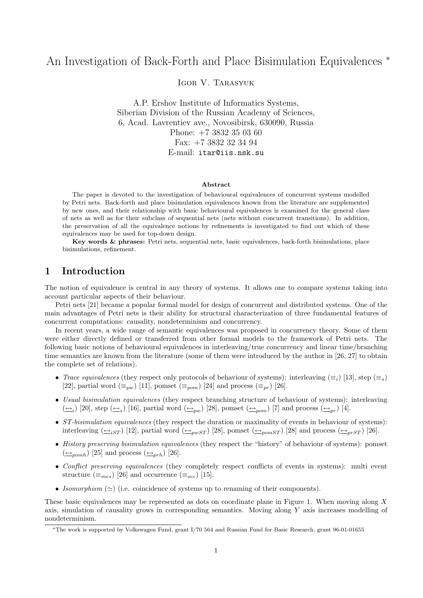# An Investigation of Back-Forth and Place Bisimulation Equivalences <sup>∗</sup>

Igor V. Tarasyuk

A.P. Ershov Institute of Informatics Systems, Siberian Division of the Russian Academy of Sciences, 6, Acad. Lavrentiev ave., Novosibirsk, 630090, Russia Phone: +7 3832 35 03 60 Fax: +7 3832 32 34 94 E-mail: itar@iis.nsk.su

#### Abstract

The paper is devoted to the investigation of behavioural equivalences of concurrent systems modelled by Petri nets. Back-forth and place bisimulation equivalences known from the literature are supplemented by new ones, and their relationship with basic behavioural equivalences is examined for the general class of nets as well as for their subclass of sequential nets (nets without concurrent transitions). In addition, the preservation of all the equivalence notions by refinements is investigated to find out which of these equivalences may be used for top-down design.

Key words & phrases: Petri nets, sequential nets, basic equivalences, back-forth bisimulations, place bisimulations, refinement.

## 1 Introduction

The notion of equivalence is central in any theory of systems. It allows one to compare systems taking into account particular aspects of their behaviour.

Petri nets [21] became a popular formal model for design of concurrent and distributed systems. One of the main advantages of Petri nets is their ability for structural characterization of three fundamental features of concurrent computations: causality, nondeterminism and concurrency.

In recent years, a wide range of semantic equivalences was proposed in concurrency theory. Some of them were either directly defined or transferred from other formal models to the framework of Petri nets. The following basic notions of behavioural equivalences in interleaving/true concurrency and linear time/branching time semantics are known from the literature (some of them were introduced by the author in [26, 27] to obtain the complete set of relations).

- Trace equivalences (they respect only protocols of behaviour of systems): interleaving  $(\equiv_i)$  [13], step  $(\equiv_s)$ [22], partial word  $(\equiv_{pw})$  [11], pomset  $(\equiv_{pom})$  [24] and process  $(\equiv_{pr})$  [26].
- Usual bisimulation equivalences (they respect branching structure of behaviour of systems): interleaving  $(\underline{\leftrightarrow}_i)$  [20], step  $(\underline{\leftrightarrow}_s)$  [16], partial word  $(\underline{\leftrightarrow}_{pw})$  [28], pomset  $(\underline{\leftrightarrow}_{pom})$  [7] and process  $(\underline{\leftrightarrow}_{pr})$  [4].
- ST-bisimulation equivalences (they respect the duration or maximality of events in behaviour of systems): interleaving  $(\triangle_{iST})$  [12], partial word  $(\triangle_{pwsT})$  [28], pomset  $(\triangle_{pomsT})$  [28] and process  $(\triangle_{prST})$  [26].
- History preserving bisimulation equivalences (they respect the "history" of behaviour of systems): pomset  $(\underline{\leftrightarrow}_{pomh})$  [25] and process  $(\underline{\leftrightarrow}_{prh})$  [26].
- Conflict preserving equivalences (they completely respect conflicts of events in systems): multi event structure ( $\equiv_{mes}$ ) [26] and occurrence ( $\equiv_{occ}$ ) [15].
- Isomorphism  $(\simeq)$  (i.e. coincidence of systems up to renaming of their components).

These basic equivalences may be represented as dots on coordinate plane in Figure 1. When moving along  $X$ axis, simulation of causality grows in corresponding semantics. Moving along Y axis increases modelling of nondeterminism.

<sup>∗</sup>The work is supported by Volkswagen Fund, grant I/70 564 and Russian Fund for Basic Research, grant 96-01-01655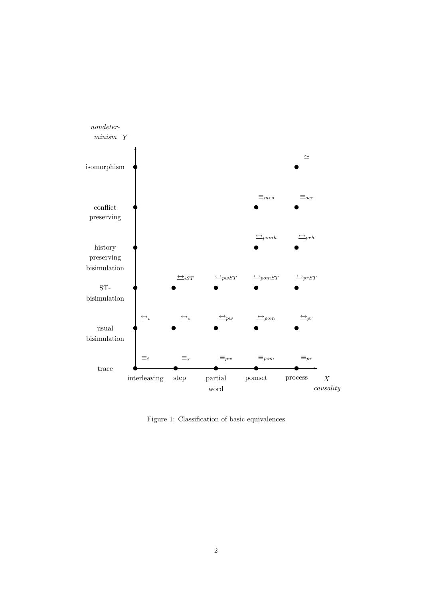

Figure 1: Classification of basic equivalences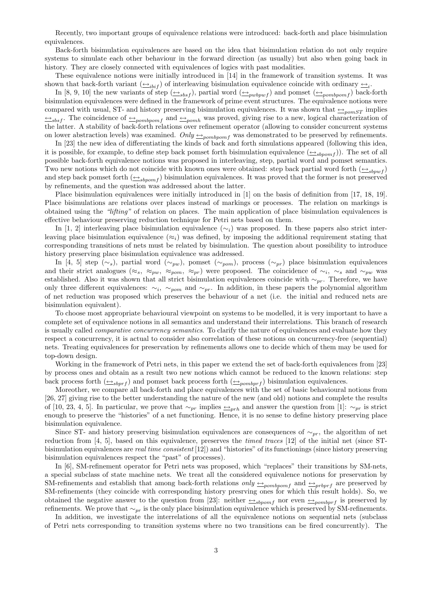Recently, two important groups of equivalence relations were introduced: back-forth and place bisimulation equivalences.

Back-forth bisimulation equivalences are based on the idea that bisimulation relation do not only require systems to simulate each other behaviour in the forward direction (as usually) but also when going back in history. They are closely connected with equivalences of logics with past modalities.

These equivalence notions were initially introduced in [14] in the framework of transition systems. It was shown that back-forth variant  $(\underline{\leftrightarrow}_{i\{bf}i\{bf}\})$  of interleaving bisimulation equivalence coincide with ordinary  $\underline{\leftrightarrow}_{i}$ .

In [8, 9, 10] the new variants of step  $(\underline{\leftrightarrow}_{sbsf})$ , partial word  $(\underline{\leftrightarrow}_{pwbpwf})$  and pomset  $(\underline{\leftrightarrow}_{pombpomf})$  back-forth bisimulation equivalences were defined in the framework of prime event structures. The equivalence notions were compared with usual, ST- and history preserving bisimulation equivalences. It was shown that  $\leftarrow_{pomST}$  implies  $\Leftrightarrow_{sbsf}$ . The coincidence of  $\Leftrightarrow_{pombpomf}$  and  $\Leftrightarrow_{pomb}$  was proved, giving rise to a new, logical characterization of the latter. A stability of back-forth relations over refinement operator (allowing to consider concurrent systems on lower abstraction levels) was examined. Only  $\triangle_{pombpomf}$  was demonstrated to be preserved by refinements.

In [23] the new idea of differentiating the kinds of back and forth simulations appeared (following this idea, it is possible, for example, to define step back pomset forth bisimulation equivalence  $(\triangle_{shown} f)$ ). The set of all possible back-forth equivalence notions was proposed in interleaving, step, partial word and pomset semantics. Two new notions which do not coincide with known ones were obtained: step back partial word forth  $(\triangle_{sbnwt})$ and step back pomset forth  $(\triangle_{sbpomf})$  bisimulation equivalences. It was proved that the former is not preserved by refinements, and the question was addressed about the latter.

Place bisimulation equivalences were initially introduced in [1] on the basis of definition from [17, 18, 19]. Place bisimulations are relations over places instead of markings or processes. The relation on markings is obtained using the "lifting" of relation on places. The main application of place bisimulation equivalences is effective behaviour preserving reduction technique for Petri nets based on them.

In [1, 2] interleaving place bisimulation equivalence ( $\sim_i$ ) was proposed. In these papers also strict interleaving place bisimulation equivalence ( $\approx_i$ ) was defined, by imposing the additional requirement stating that corresponding transitions of nets must be related by bisimulation. The question about possibility to introduce history preserving place bisimulation equivalence was addressed.

In [4, 5] step (∼s), partial word (∼pw), pomset (∼pom), process (∼pr) place bisimulation equivalences and their strict analogues ( $\approx_s$ ,  $\approx_{pw}$ ,  $\approx_{pom}$ ,  $\approx_{pr}$ ) were proposed. The coincidence of  $\sim_i$ ,  $\sim_s$  and  $\sim_{pw}$  was established. Also it was shown that all strict bisimulation equivalences coincide with  $\sim_{pr}$ . Therefore, we have only three different equivalences:  $\sim_i$ ,  $\sim_{pom}$  and  $\sim_{pr}$ . In addition, in these papers the polynomial algorithm of net reduction was proposed which preserves the behaviour of a net (i.e. the initial and reduced nets are bisimulation equivalent).

To choose most appropriate behavioural viewpoint on systems to be modelled, it is very important to have a complete set of equivalence notions in all semantics and understand their interrelations. This branch of research is usually called *comparative concurrency semantics*. To clarify the nature of equivalences and evaluate how they respect a concurrency, it is actual to consider also correlation of these notions on concurrency-free (sequential) nets. Treating equivalences for preservation by refinements allows one to decide which of them may be used for top-down design.

Working in the framework of Petri nets, in this paper we extend the set of back-forth equivalences from [23] by process ones and obtain as a result two new notions which cannot be reduced to the known relations: step back process forth  $(\underline{\leftrightarrow}_{sbprf})$  and pomset back process forth  $(\underline{\leftrightarrow}_{pombprf})$  bisimulation equivalences.

Moreother, we compare all back-forth and place equivalences with the set of basic behavioural notions from [26, 27] giving rise to the better understanding the nature of the new (and old) notions and complete the results of [10, 23, 4, 5]. In particular, we prove that  $\sim_{pr}$  implies  $\leftarrow_{prh}$  and answer the question from [1]:  $\sim_{pr}$  is strict enough to preserve the "histories" of a net functioning. Hence, it is no sense to define history preserving place bisimulation equivalence.

Since ST- and history preserving bisimulation equivalences are consequences of  $~\sim_{pr}$ , the algorithm of net reduction from [4, 5], based on this equivalence, preserves the timed traces [12] of the initial net (since STbisimulation equivalences are real time consistent [12]) and "histories" of its functionings (since history preserving bisimulation equivalences respect the "past" of processes).

In [6], SM-refinement operator for Petri nets was proposed, which "replaces" their transitions by SM-nets, a special subclass of state machine nets. We treat all the considered equivalence notions for preservation by SM-refinements and establish that among back-forth relations  $only \rightarrow_{pombpomf}$  and  $\rightarrow_{prbprf}$  are preserved by SM-refinements (they coincide with corresponding history presrving ones for which this result holds). So, we obtained the negative answer to the question from [23]: neither  $\frac{\leftarrow s_{\text{b}pomf}}{\frac{\leftarrow s_{\text{b}pomf}}{\frac{\leftarrow s_{\text{b}pomf}}{\frac{\leftarrow s_{\text{b}pomf}}{\frac{\leftarrow s_{\text{b}pomf}}{\frac{\leftarrow s_{\text{b}pomf}}{\frac{\leftarrow s_{\text{b}pomf}}{\frac{\leftarrow s_{\text{b}pomf}}{\frac{\leftarrow s_{\text{b}pomf}}{\frac{\leftarrow s_{\text{b}$ refinements. We prove that  $\sim_{pr}$  is the only place bisimulation equivalence which is preserved by SM-refinements.

In addition, we investigate the interrelations of all the equivalence notions on sequential nets (subclass of Petri nets corresponding to transition systems where no two transitions can be fired concurrently). The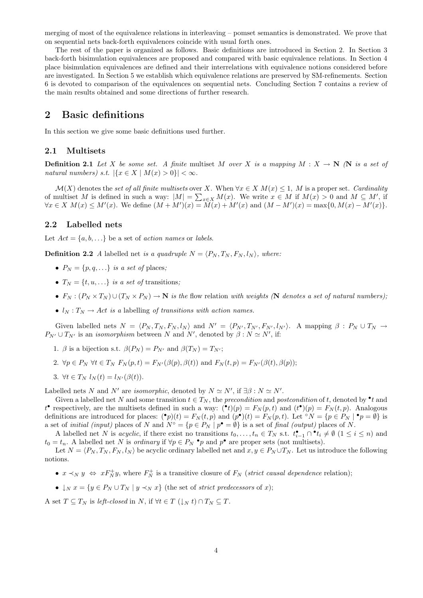merging of most of the equivalence relations in interleaving – pomset semantics is demonstrated. We prove that on sequential nets back-forth equivalences coincide with usual forth ones.

The rest of the paper is organized as follows. Basic definitions are introduced in Section 2. In Section 3 back-forth bisimulation equivalences are proposed and compared with basic equivalence relations. In Section 4 place bisimulation equivalences are defined and their interrelations with equivalence notions considered before are investigated. In Section 5 we establish which equivalence relations are preserved by SM-refinements. Section 6 is devoted to comparison of the equivalences on sequential nets. Concluding Section 7 contains a review of the main results obtained and some directions of further research.

### 2 Basic definitions

In this section we give some basic definitions used further.

#### 2.1 Multisets

**Definition 2.1** Let X be some set. A finite multiset M over X is a mapping  $M : X \to \mathbb{N}$  (N is a set of natural numbers) s.t.  $|\{x \in X \mid M(x) > 0\}| < \infty$ .

 $\mathcal{M}(X)$  denotes the set of all finite multisets over X. When  $\forall x \in X \ M(x) \leq 1$ , M is a proper set. Cardinality of multiset M is defined in such a way:  $|M| = \sum_{x \in X} M(x)$ . We write  $x \in M$  if  $M(x) > 0$  and  $M \subseteq M'$ , if  $\forall x \in X \ M(x) \leq M'(x)$ . We define  $(M + M')(x) = \widetilde{M}(x) + M'(x)$  and  $(M - M')(x) = \max\{0, M(x) - M'(x)\}.$ 

#### 2.2 Labelled nets

Let  $Act = \{a, b, \ldots\}$  be a set of *action names* or *labels*.

**Definition 2.2** A labelled net is a quadruple  $N = \langle P_N, T_N, F_N, l_N \rangle$ , where:

- $P_N = \{p, q, \ldots\}$  is a set of places;
- $T_N = \{t, u, ...\}$  is a set of transitions;
- $F_N : (P_N \times T_N) \cup (T_N \times P_N) \to \mathbb{N}$  is the flow relation with weights (N denotes a set of natural numbers);
- $l_N : T_N \to Act$  is a labelling of transitions with action names.

Given labelled nets  $N = \langle P_N, T_N, F_N, l_N \rangle$  and  $N' = \langle P_{N'}, T_{N'}, F_{N'}, l_{N'} \rangle$ . A mapping  $\beta : P_N \cup T_N \rightarrow$  $P_{N'} \cup T_{N'}$  is an *isomorphism* between N and N', denoted by  $\beta : N \simeq N'$ , if:

1. β is a bijection s.t.  $\beta(P_N) = P_{N'}$  and  $\beta(T_N) = T_{N'}$ ;

2. 
$$
\forall p \in P_N \ \forall t \in T_N \ F_N(p,t) = F_{N'}(\beta(p), \beta(t))
$$
 and  $F_N(t,p) = F_{N'}(\beta(t), \beta(p));$ 

3.  $\forall t \in T_N$   $l_N(t) = l_{N'}(\beta(t)).$ 

Labelled nets N and N' are isomorphic, denoted by  $N \simeq N'$ , if  $\exists \beta : N \simeq N'$ .

Given a labelled net N and some transition  $t \in T_N$ , the precondition and postcondition of t, denoted by  $\bullet t$  and  $t^{\bullet}$  respectively, are the multisets defined in such a way:  $({}^{\bullet}t)(p) = F_N(p,t)$  and  $(t^{\bullet})(p) = F_N(t,p)$ . Analogous definitions are introduced for places:  $\left( \bullet p \right) (t) = F_N(t, p)$  and  $(p \bullet)(t) = F_N(p, t)$ . Let  $\circ N = \{ p \in P_N \mid \bullet p = \emptyset \}$  is a set of *initial (input)* places of N and  $N^{\circ} = \{p \in P_N \mid p^{\bullet} = \emptyset\}$  is a set of *final (output)* places of N.

A labelled net N is acyclic, if there exist no transitions  $t_0, \ldots, t_n \in T_N$  s.t.  $t_{i-1}^{\bullet} \cap t_i \neq \emptyset$   $(1 \leq i \leq n)$  and  $t_0 = t_n$ . A labelled net N is *ordinary* if  $\forall p \in P_N \cdot p$  and  $p^{\bullet}$  are proper sets (not multisets).

Let  $N = \langle P_N, T_N, F_N, l_N \rangle$  be acyclic ordinary labelled net and  $x, y \in P_N \cup T_N$ . Let us introduce the following notions.

- $x \prec_N y \Leftrightarrow x F_N^+ y$ , where  $F_N^+$  is a transitive closure of  $F_N$  (strict causal dependence relation);
- $\downarrow_N x = \{y \in P_N \cup T_N \mid y \prec_N x\}$  (the set of *strict predecessors* of x);

A set  $T \subseteq T_N$  is left-closed in N, if  $\forall t \in T \left(\downarrow_N t\right) \cap T_N \subseteq T$ .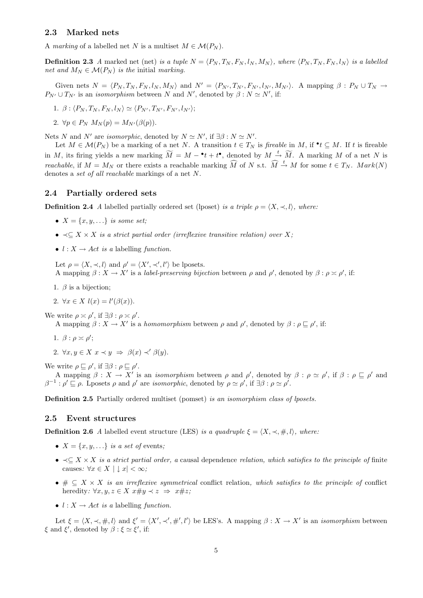#### 2.3 Marked nets

A marking of a labelled net N is a multiset  $M \in \mathcal{M}(P_N)$ .

**Definition 2.3** A marked net (net) is a tuple  $N = \langle P_N, T_N, F_N, l_N, M_N \rangle$ , where  $\langle P_N, T_N, F_N, l_N \rangle$  is a labelled net and  $M_N \in \mathcal{M}(P_N)$  is the initial marking.

Given nets  $N = \langle P_N, T_N, F_N, l_N, M_N \rangle$  and  $N' = \langle P_{N'}, T_{N'}, F_{N'}, l_{N'}, M_{N'} \rangle$ . A mapping  $\beta : P_N \cup T_N \rightarrow$  $P_{N'} \cup T_{N'}$  is an *isomorphism* between N and N', denoted by  $\beta : N \simeq N'$ , if:

1. 
$$
\beta : \langle P_N, T_N, F_N, l_N \rangle \simeq \langle P_{N'}, T_{N'}, F_{N'}, l_{N'} \rangle;
$$

2.  $\forall p \in P_N$   $M_N(p) = M_{N'}(\beta(p)).$ 

Nets N and N' are isomorphic, denoted by  $N \simeq N'$ , if  $\exists \beta : N \simeq N'$ .

Let  $M \in \mathcal{M}(P_N)$  be a marking of a net N. A transition  $t \in T_N$  is fireable in M, if  $\bullet t \subseteq M$ . If t is fireable in M, its firing yields a new marking  $\widetilde{M} = M - t + t^{\bullet}$ , denoted by  $M \stackrel{t}{\rightarrow} \widetilde{M}$ . A marking M of a net N is reachable, if  $M = M_N$  or there exists a reachable marking  $\widehat{M}$  of N s.t.  $\widehat{M} \stackrel{t}{\rightarrow} M$  for some  $t \in T_N$ .  $Mark(N)$ denotes a set of all reachable markings of a net N.

#### 2.4 Partially ordered sets

**Definition 2.4** A labelled partially ordered set (lposet) is a triple  $\rho = \langle X, \prec, l \rangle$ , where:

- $X = \{x, y, \ldots\}$  is some set;
- $\prec$  $\subset$  X  $\times$  X is a strict partial order (irreflexive transitive relation) over X;
- $l : X \rightarrow Act$  is a labelling function.

Let  $\rho = \langle X, \prec, l \rangle$  and  $\rho' = \langle X', \prec', l' \rangle$  be lposets. A mapping  $\beta: X \to X'$  is a *label-preserving bijection* between  $\rho$  and  $\rho'$ , denoted by  $\beta: \rho \asymp \rho'$ , if:

- 1.  $\beta$  is a bijection;
- 2.  $\forall x \in X \; l(x) = l'(\beta(x)).$

We write  $\rho \asymp \rho'$ , if  $\exists \beta : \rho \asymp \rho'$ .

A mapping  $\beta: X \to X'$  is a homomorphism between  $\rho$  and  $\rho'$ , denoted by  $\beta: \rho \sqsubseteq \rho'$ , if:

- 1.  $\beta$  :  $\rho \asymp \rho'$ ;
- 2.  $\forall x, y \in X \ x \prec y \ \Rightarrow \ \beta(x) \prec' \beta(y).$

We write  $\rho \sqsubseteq \rho'$ , if  $\exists \beta : \rho \sqsubseteq \rho'$ .

A mapping  $\beta: X \to X'$  is an *isomorphism* between  $\rho$  and  $\rho'$ , denoted by  $\beta: \rho \simeq \rho'$ , if  $\beta: \rho \sqsubseteq \rho'$  and  $\beta^{-1}$ :  $\rho' \sqsubseteq \rho$ . Lposets  $\rho$  and  $\rho'$  are *isomorphic*, denoted by  $\rho \simeq \rho'$ , if  $\exists \beta : \rho \simeq \rho'$ .

Definition 2.5 Partially ordered multiset (pomset) is an isomorphism class of lposets.

### 2.5 Event structures

**Definition 2.6** A labelled event structure (LES) is a quadruple  $\xi = \langle X, \prec, \#, l \rangle$ , where:

- $X = \{x, y, \ldots\}$  is a set of events;
- $\prec \subset X \times X$  is a strict partial order, a causal dependence relation, which satisfies to the principle of finite causes:  $\forall x \in X \mid x < \infty;$
- $\# \subseteq X \times X$  is an irreflexive symmetrical conflict relation, which satisfies to the principle of conflict heredity:  $\forall x, y, z \in X \ x \# y \prec z \Rightarrow x \# z;$
- $l : X \rightarrow Act$  is a labelling function.

Let  $\xi = \langle X, \prec, \#, l \rangle$  and  $\xi' = \langle X', \prec', \#', l' \rangle$  be LES's. A mapping  $\beta : X \to X'$  is an *isomorphism* between  $\xi$  and  $\xi'$ , denoted by  $\beta : \xi \simeq \xi'$ , if: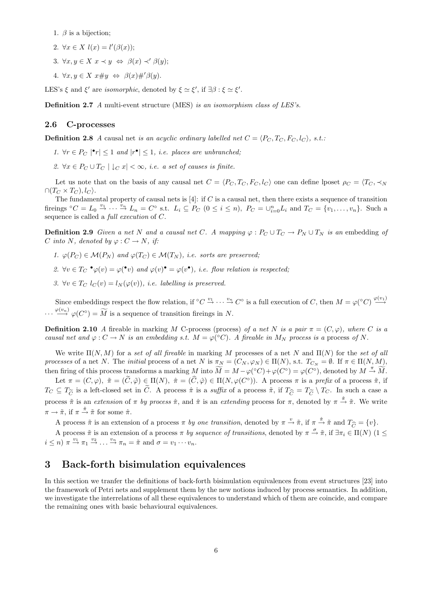- 1.  $\beta$  is a bijection;
- 2.  $\forall x \in X$   $l(x) = l'(\beta(x));$
- 3.  $\forall x, y \in X \ x \prec y \Leftrightarrow \ \beta(x) \prec' \beta(y);$
- 4.  $\forall x, y \in X \ x \# y \Leftrightarrow \beta(x) \#' \beta(y)$ .

LES's  $\xi$  and  $\xi'$  are *isomorphic*, denoted by  $\xi \simeq \xi'$ , if  $\exists \beta : \xi \simeq \xi'$ .

Definition 2.7 A multi-event structure (MES) is an isomorphism class of LES's.

#### 2.6 C-processes

**Definition 2.8** A causal net is an acyclic ordinary labelled net  $C = \langle P_C, T_C, F_C, l_C \rangle$ , s.t.:

- 1.  $\forall r \in P_C \mid \mathbf{r} \leq 1$  and  $|\mathbf{r} \cdot \mathbf{r}| \leq 1$ , i.e. places are unbranched;
- 2.  $\forall x \in P_C \cup T_C \mid \downarrow_C x \mid < \infty$ , *i.e.* a set of causes is finite.

Let us note that on the basis of any causal net  $C = \langle P_C, T_C, F_C, l_C \rangle$  one can define lposet  $\rho_C = \langle T_C, \prec_N \rangle$  $\cap (T_C \times T_C), l_C$ .

The fundamental property of causal nets is  $[4]$ : if C is a causal net, then there exists a sequence of transition fireings  ${}^{\circ}C = L_0 \stackrel{v_1}{\rightarrow} \cdots \stackrel{v_n}{\rightarrow} L_n = C^{\circ}$  s.t.  $L_i \subseteq P_C$   $(0 \leq i \leq n)$ ,  $P_C = \bigcup_{i=0}^n L_i$  and  $T_C = \{v_1, \ldots, v_n\}$ . Such a sequence is called a full execution of C.

**Definition 2.9** Given a net N and a causal net C. A mapping  $\varphi : P_C \cup T_C \to P_N \cup T_N$  is an embedding of C into N, denoted by  $\varphi: C \to N$ , if:

- 1.  $\varphi(P_C) \in \mathcal{M}(P_N)$  and  $\varphi(T_C) \in \mathcal{M}(T_N)$ , i.e. sorts are preserved:
- 2.  $\forall v \in T_C \bullet \varphi(v) = \varphi(\bullet v)$  and  $\varphi(v) \bullet \varphi(v)$ , i.e. flow relation is respected;
- 3.  $\forall v \in T_C$   $l_C(v) = l_N(\varphi(v))$ , *i.e. labelling is preserved.*

Since embeddings respect the flow relation, if  ${}^{\circ}C \stackrel{v_1}{\rightarrow} \cdots \stackrel{v_n}{\rightarrow} C^{\circ}$  is a full execution of C, then  $M = \varphi({}^{\circ}C) \stackrel{\varphi(v_1)}{\rightarrow} C^{\circ}$  $\cdots \stackrel{\varphi(v_n)}{\longrightarrow} \varphi(C^{\circ}) = \widetilde{M}$  is a sequence of transition fireings in N.

**Definition 2.10** A fireable in marking M C-process (process) of a net N is a pair  $\pi = (C, \varphi)$ , where C is a causal net and  $\varphi: C \to N$  is an embedding s.t.  $M = \varphi({}^{\circ}C)$ . A fireable in  $M_N$  process is a process of N.

We write  $\Pi(N, M)$  for a set of all fireable in marking M processes of a net N and  $\Pi(N)$  for the set of all processes of a net N. The *initial* process of a net N is  $\pi_N = (C_N, \varphi_N) \in \Pi(N)$ , s.t.  $T_{C_N} = \emptyset$ . If  $\pi \in \Pi(N, M)$ , then firing of this process transforms a marking M into  $\widetilde{M} = M - \varphi({}^{\circ}C) + \varphi(C^{\circ}) = \varphi(C^{\circ}),$  denoted by  $M \stackrel{\pi}{\to} \widetilde{M}$ .

Let  $\pi = (C, \varphi), \tilde{\pi} = (\tilde{C}, \tilde{\varphi}) \in \Pi(N), \hat{\pi} = (\hat{C}, \hat{\varphi}) \in \Pi(N, \varphi(C^{\circ})).$  A process  $\pi$  is a prefix of a process  $\tilde{\pi}$ , if  $T_C \subseteq T_{\widetilde{C}}$  is a left-closed set in  $\widetilde{C}$ . A process  $\hat{\pi}$  is a suffix of a process  $\tilde{\pi}$ , if  $T_{\widehat{C}} = T_{\widetilde{C}} \setminus T_C$ . In such a case a process  $\tilde{\pi}$  is an extension of  $\pi$  by process  $\hat{\pi}$ , and  $\hat{\pi}$  is an extending process for  $\pi$ , denoted by  $\pi \stackrel{\hat{\pi}}{\rightarrow} \tilde{\pi}$ . We write  $\pi \to \tilde{\pi}$ , if  $\pi \stackrel{\hat{\pi}}{\to} \tilde{\pi}$  for some  $\hat{\pi}$ .

A process  $\tilde{\pi}$  is an extension of a process  $\pi$  by one transition, denoted by  $\pi \stackrel{v}{\rightarrow} \tilde{\pi}$ , if  $\pi \stackrel{\hat{\pi}}{\rightarrow} \tilde{\pi}$  and  $T_{\widehat{C}} = \{v\}$ .

A process  $\tilde{\pi}$  is an extension of a process  $\pi$  by sequence of transitions, denoted by  $\pi \stackrel{\sigma}{\to} \tilde{\pi}$ , if  $\exists \pi_i \in \Pi(N)$  (1  $\leq$  $i \leq n$ )  $\pi \stackrel{v_1}{\rightarrow} \pi_1 \stackrel{v_2}{\rightarrow} \ldots \stackrel{v_n}{\rightarrow} \pi_n = \tilde{\pi}$  and  $\sigma = v_1 \cdots v_n$ .

## 3 Back-forth bisimulation equivalences

In this section we tranfer the definitions of back-forth bisimulation equivalences from event structures [23] into the framework of Petri nets and supplement them by the new notions induced by process semantics. In addition, we investigate the interrelations of all these equivalences to understand which of them are coincide, and compare the remaining ones with basic behavioural equivalences.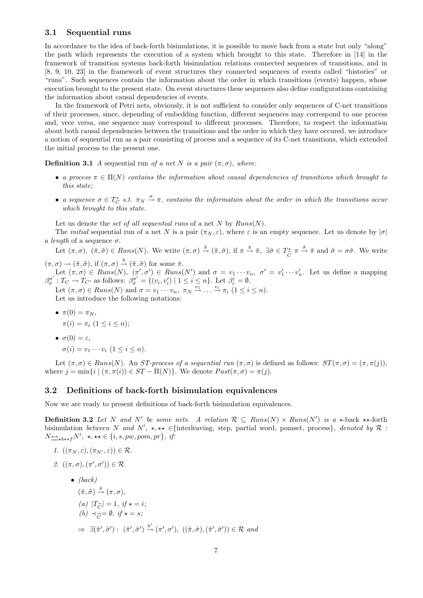#### 3.1 Sequential runs

In accordance to the idea of back-forth bisimulations, it is possible to move back from a state but only "along" the path which represents the execution of a system which brought to this state. Therefore in [14] in the framework of transition systems back-forth bisimulation relations connected sequences of transitions, and in [8, 9, 10, 23] in the framework of event structures they connected sequences of events called "histories" or "runs". Such sequences contain the information about the order in which transitions (events) happen, whose execution brought to the present state. On event structures these sequences also define configurations containing the information about causal dependencies of events.

In the framework of Petri nets, obviously, it is not sufficient to consider only sequences of C-net transitions of their processes, since, depending of embedding function, different sequences may correspond to one process and, vece versa, one sequence may correspond to different processes. Therefore, to respect the information about both causal dependencies between the transitions and the order in which they have occured, we introduce a notion of sequential run as a pair consisting of process and a sequence of its C-net transitions, which extended the initial process to the present one.

**Definition 3.1** A sequential run of a net N is a pair  $(\pi, \sigma)$ , where:

- a process  $\pi \in \Pi(N)$  contains the information about causal dependencies of transitions which brought to this state;
- a sequence  $\sigma \in T_C^*$  s.t.  $\pi_N \stackrel{\sigma}{\to} \pi$ , contains the information about the order in which the transitions occur which brought to this state.

Let us denote the set of all sequential runs of a net N by  $Runs(N)$ .

The *initial* sequential run of a net N is a pair  $(\pi_N, \varepsilon)$ , where  $\varepsilon$  is an empty sequence. Let us denote by  $|\sigma|$ a *length* of a sequence  $\sigma$ .

Let  $(\pi, \sigma)$ ,  $(\tilde{\pi}, \tilde{\sigma}) \in Runs(N)$ . We write  $(\pi, \sigma) \stackrel{\hat{\pi}}{\rightarrow} (\tilde{\pi}, \tilde{\sigma})$ , if  $\pi \stackrel{\hat{\pi}}{\rightarrow} \tilde{\pi}$ ,  $\exists \hat{\sigma} \in T_{\widetilde{C}}^*$   $\pi \stackrel{\hat{\sigma}}{\rightarrow} \tilde{\pi}$  and  $\tilde{\sigma} = \sigma \hat{\sigma}$ . We write  $(\pi, \sigma) \rightarrow (\tilde{\pi}, \tilde{\sigma}),$  if  $(\pi, \sigma) \stackrel{\hat{\pi}}{\rightarrow} (\tilde{\pi}, \tilde{\sigma})$  for some  $\hat{\pi}$ .

Let  $(\pi, \sigma) \in Runs(N), \ (\pi', \sigma') \in Runs(N')$  and  $\sigma = v_1 \cdots v_n, \ \sigma' = v'_1 \cdots v'_n$ . Let us define a mapping  $\beta_{\sigma}^{\sigma'}: T_{C} \to T_{C'}$  as follows:  $\beta_{\sigma}^{\sigma'} = \{(v_i, v'_i) \mid 1 \leq i \leq n\}$ . Let  $\beta_{\varepsilon}^{\varepsilon} = \emptyset$ . Let  $(\pi,\sigma)\in \text{Runs}(N)$  and  $\sigma = v_1 \cdots v_n, \ \pi_N \stackrel{v_1}{\rightarrow} \ldots \stackrel{v_i}{\rightarrow} \pi_i \ (1 \leq i \leq n).$ 

Let us introduce the following notations:

• 
$$
\pi(0) = \pi_N,
$$
  
\n
$$
\pi(i) = \pi_i \ (1 \leq i \leq n);
$$

• 
$$
\sigma(0) = \varepsilon
$$
,  
\n $\sigma(i) = v_1 \cdots v_i \ (1 \leq i \leq n).$ 

Let  $(\pi, \sigma) \in Runs(N)$ . An *ST-process of a sequential run*  $(\pi, \sigma)$  is defined as follows:  $ST(\pi, \sigma) = (\pi, \pi(j)),$ where  $j = \min\{i \mid (\pi, \pi(i)) \in ST - \Pi(N)\}\)$ . We denote  $Post(\pi, \sigma) = \pi(j)$ .

#### 3.2 Definitions of back-forth bisimulation equivalences

Now we are ready to present definitions of back-forth bisimulation equivalences.

**Definition 3.2** Let N and N' be some nets. A relation  $\mathcal{R} \subseteq Runs(N) \times Runs(N')$  is a  $\star$ -back  $\star\star$ -forth bisimulation between N and N',  $\star, \star\star \in \{\text{interleaving}, \text{ step}, \text{ partial word}, \text{ pomset}, \text{process}\},$  denoted by  $\mathcal{R}$ :  $N \triangleq_{\star b \star \star f} N', \star, \star \star \in \{i, s, pw, pom, pr\}, \text{ if:}$ 

1. 
$$
((\pi_N, \varepsilon), (\pi_{N'}, \varepsilon)) \in \mathcal{R}
$$
.

2. 
$$
((\pi, \sigma), (\pi', \sigma')) \in \mathcal{R}
$$

 $\bullet$  (back)  $(\tilde{\pi}, \tilde{\sigma}) \stackrel{\hat{\pi}}{\rightarrow} (\pi, \sigma),$ (a)  $|T_{\widehat{C}}| = 1$ , if  $\star = i$ ; (b)  $\prec_{\widehat{G}} = \emptyset$ , if  $\star = s$ ;  $\Rightarrow \exists (\tilde{\pi}', \tilde{\sigma}') : (\tilde{\pi}', \tilde{\sigma}') \stackrel{\hat{\pi}'}{\rightarrow} (\pi', \sigma'), ((\tilde{\pi}, \tilde{\sigma}), (\tilde{\pi}', \tilde{\sigma}')) \in \mathcal{R} \text{ and}$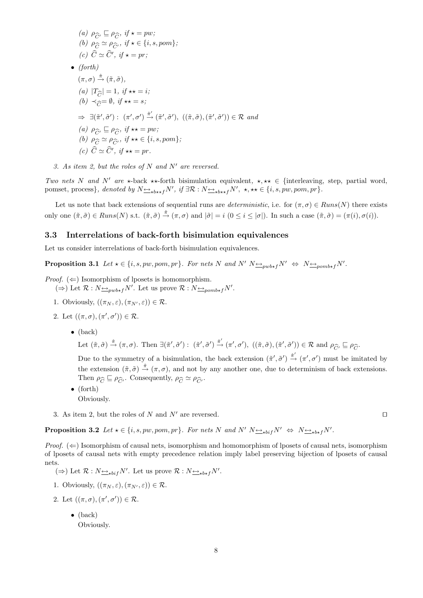(a) 
$$
\rho_{\widehat{C}} \subseteq \rho_{\widehat{C}}, \quad \text{if } x = pw;
$$
  
\n(b)  $\rho_{\widehat{C}} \simeq \rho_{\widehat{C}'}, \quad \text{if } x \in \{i, s, pom\};$   
\n(c)  $\widehat{C} \simeq \widehat{C}', \quad \text{if } x = pr;$   
\n• (forth)  
\n $(\pi, \sigma) \stackrel{\hat{\pi}}{\rightarrow} (\tilde{\pi}, \tilde{\sigma}),$   
\n(a)  $|T_{\widehat{C}}| = 1, \quad \text{if } x \neq i;$   
\n(b)  $\prec_{\widehat{C}} = \emptyset, \quad \text{if } x \neq s;$   
\n $\Rightarrow \exists (\tilde{\pi}', \tilde{\sigma}') : (\pi', \sigma') \stackrel{\hat{\pi}'}{\rightarrow} (\tilde{\pi}', \tilde{\sigma}'), ((\tilde{\pi}, \tilde{\sigma}), (\tilde{\pi}', \tilde{\sigma}')) \in \mathbb{R}$  and  
\n(a)  $\rho_{\widehat{C}} \subseteq \rho_{\widehat{C}}, \quad \text{if } x \neq pw;$   
\n(b)  $\rho_{\widehat{C}} \simeq \rho_{\widehat{C}'}, \quad \text{if } x \neq \{i, s, pom\};$   
\n(c)  $\widehat{C} \simeq \widehat{C}', \quad \text{if } x \neq pr.$ 

3. As item 2, but the roles of N and N' are reversed.

Two nets N and N' are  $\star$ -back  $\star\star$ -forth bisimulation equivalent,  $\star, \star\star \in \{$ interleaving, step, partial word, pomset, process}, denoted by  $N \rightarrow_{\star b \star \star f} N'$ , if  $\exists \mathcal{R} : N \rightarrow_{\star b \star \star f} N'$ ,  $\star, \star \star \in \{i, s, pw, pom, pr\}$ .

Let us note that back extensions of sequential runs are *deterministic*, i.e. for  $(\pi, \sigma) \in Runs(N)$  there exists only one  $(\tilde{\pi}, \tilde{\sigma}) \in Runs(N)$  s.t.  $(\tilde{\pi}, \tilde{\sigma}) \stackrel{\hat{\pi}}{\rightarrow} (\pi, \sigma)$  and  $|\tilde{\sigma}| = i \ (0 \leq i \leq |\sigma|)$ . In such a case  $(\tilde{\pi}, \tilde{\sigma}) = (\pi(i), \sigma(i))$ .

#### 3.3 Interrelations of back-forth bisimulation equivalences

Let us consider interrelations of back-forth bisimulation equivalences.

**Proposition 3.1** Let  $\star \in \{i, s, pw, pom, pr\}$ . For nets N and N'  $N \rightarrow_{pwb*f} N' \Leftrightarrow N \rightarrow_{pomb*f} N'$ .

- *Proof.*  $(\Leftarrow)$  Isomorphism of lposets is homomorphism.  $(\Rightarrow)$  Let  $\mathcal{R}: N \rightarrow_{pub*f} N'$ . Let us prove  $\mathcal{R}: N \rightarrow_{pomb*f} N'$ .
	- 1. Obviously,  $((\pi_N, \varepsilon), (\pi_{N'}, \varepsilon)) \in \mathcal{R}$ .
	- 2. Let  $((\pi,\sigma),(\pi',\sigma')) \in \mathcal{R}$ .
		- (back)

Let  $(\tilde{\pi}, \tilde{\sigma}) \stackrel{\hat{\pi}}{\rightarrow} (\pi, \sigma)$ . Then  $\exists (\tilde{\pi}', \tilde{\sigma}') : (\tilde{\pi}', \tilde{\sigma}') \stackrel{\hat{\pi}'}{\rightarrow} (\pi', \sigma')$ ,  $((\tilde{\pi}, \tilde{\sigma}), (\tilde{\pi}', \tilde{\sigma}')) \in \mathcal{R}$  and  $\rho_{\widehat{C'}} \sqsubseteq \rho_{\widehat{C}}$ .

Due to the symmetry of a bisimulation, the back extension  $(\tilde{\pi}', \tilde{\sigma}') \stackrel{\hat{\pi}'}{\rightarrow} (\pi', \sigma')$  must be imitated by the extension  $(\tilde{\pi}, \tilde{\sigma}) \stackrel{\hat{\pi}}{\rightarrow} (\pi, \sigma)$ , and not by any another one, due to determinism of back extensions. Then  $\rho_{\widehat{C}} \sqsubseteq \rho_{\widehat{C}'}$ . Consequently,  $\rho_{\widehat{C}} \simeq \rho_{\widehat{C}'}$ .

- (forth) Obviously.
- 3. As item 2, but the roles of N and N' are reversed.  $\Box$

**Proposition 3.2** Let  $\star \in \{i, s, pw, pom, pr\}$ . For nets N and N'  $N \rightarrow_{\star bif} N' \Leftrightarrow N \rightarrow_{\star bif} N'$ .

*Proof.*  $(\Leftarrow)$  Isomorphism of causal nets, isomorphism and homomorphism of lposets of causal nets, isomorphism of lposets of causal nets with empty precedence relation imply label preserving bijection of lposets of causal nets.

- $(\Rightarrow)$  Let  $\mathcal{R}: N \rightarrow_{\star bif} N'$ . Let us prove  $\mathcal{R}: N \rightarrow_{\star bif} N'$ .
- 1. Obviously,  $((\pi_N, \varepsilon), (\pi_{N'}, \varepsilon)) \in \mathcal{R}$ .
- 2. Let  $((\pi,\sigma),(\pi',\sigma')) \in \mathcal{R}$ .
	- $\bullet$  (back) Obviously.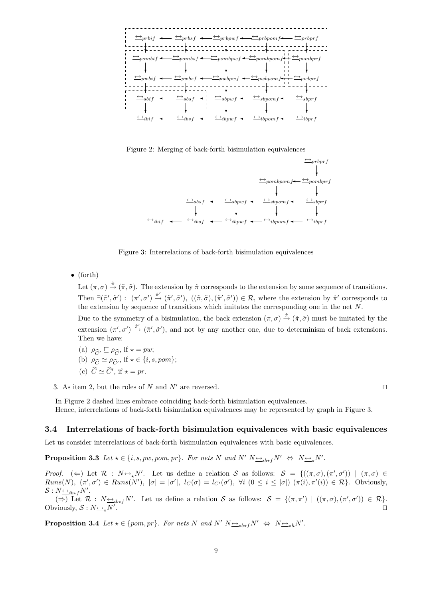

Figure 2: Merging of back-forth bisimulation equivalences



Figure 3: Interrelations of back-forth bisimulation equivalences

• (forth)

Let  $(\pi, \sigma) \stackrel{\hat{\pi}}{\rightarrow} (\tilde{\pi}, \tilde{\sigma})$ . The extension by  $\hat{\pi}$  corresponds to the extension by some sequence of transitions. Then  $\exists (\tilde{\pi}', \tilde{\sigma}') : (\pi', \sigma') \stackrel{\hat{\pi}'}{\rightarrow} (\tilde{\pi}', \tilde{\sigma}'), ((\tilde{\pi}, \tilde{\sigma}), (\tilde{\pi}', \tilde{\sigma}')) \in \mathcal{R}$ , where the extension by  $\hat{\pi}'$  corresponds to the extension by sequence of transitions which imitates the corresponding one in the net N. Due to the symmetry of a bisimulation, the back extension  $(\pi, \sigma) \stackrel{\hat{\pi}}{\rightarrow} (\tilde{\pi}, \tilde{\sigma})$  must be imitated by the extension  $(\pi', \sigma') \stackrel{\hat{\pi}'}{\rightarrow} (\tilde{\pi}', \tilde{\sigma}')$ , and not by any another one, due to determinism of back extensions.

Then we have:

(a)  $\rho_{\widehat{C}'} \sqsubseteq \rho_{\widehat{C}}$ , if  $\star = pw$ ;

(b) 
$$
\rho_{\widehat{C}} \simeq \rho_{\widehat{C}'}
$$
, if  $\star \in \{i, s, pom\};$ 

(c)  $\hat{C} \simeq \hat{C}'$ , if  $\star = pr$ .

3. As item 2, but the roles of N and N' are reversed.  $\square$ 

In Figure 2 dashed lines embrace coinciding back-forth bisimulation equivalences. Hence, interrelations of back-forth bisimulation equivalences may be represented by graph in Figure 3.

#### 3.4 Interrelations of back-forth bisimulation equivalences with basic equivalences

Let us consider interrelations of back-forth bisimulation equivalences with basic equivalences.

**Proposition 3.3** Let  $\star \in \{i, s, pw, pom, pr\}$ . For nets N and N'  $N \rightarrow_{i\rightarrow f} N' \Leftrightarrow N \rightarrow_{\star} N'$ .

Proof. (  $\Leftarrow$ ) Let  $\mathcal{R}$ :  $N \leq N'$ . Let us define a relation S as follows:  $\mathcal{S} = \{((\pi, \sigma), (\pi', \sigma')) \mid (\pi, \sigma) \in$  $Runs(N), \ (\pi', \sigma') \in Runs(N'), \ |\sigma| = |\sigma'|, \ l_C(\sigma) = l_{C'}(\sigma'), \ \forall i \ (0 \leq i \leq |\sigma|) \ (\pi(i), \pi'(i)) \in \mathcal{R} \}$ . Obviously,  $S: N \rightarrow B*_{f}N'$ .

( $\Rightarrow$ ) Let  $\mathcal{R}: N \rightarrow \rightarrow_{ikf} N'$ . Let us define a relation S as follows:  $S = \{(\pi, \pi') \mid ((\pi, \sigma), (\pi', \sigma')) \in \mathcal{R}\}.$ Obviously,  $S: N_{\frac{\leftrightarrow}{\sim k}}N'$ . . The contract of the contract of the contract of the contract of the contract of the contract of the contract of the contract of the contract of the contract of the contract of the contract of the contract of the contrac

**Proposition 3.4** Let  $\star \in \{pom, pr\}$ . For nets N and N'  $N \rightarrow \star_{\star} N' \Leftrightarrow N \rightarrow \star_{\star} N'$ .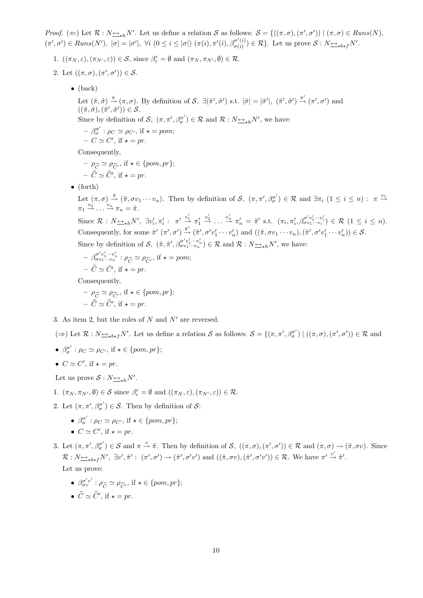Proof. ( $\Leftarrow$ ) Let  $\mathcal{R}: N \rightarrow \infty$  M'. Let us define a relation S as follows:  $\mathcal{S} = \{((\pi, \sigma), (\pi', \sigma')) \mid (\pi, \sigma) \in Runs(N),\}$  $(\pi', \sigma') \in Runs(N'), |\sigma| = |\sigma'|, \forall i (0 \leq i \leq |\sigma|) (\pi(i), \pi'(i), \beta_{\sigma(i)}^{\sigma'(i)})$  $(\sigma'(i)) \in \mathcal{R}$ . Let us prove  $\mathcal{S}: N_{\Delta t} \rightarrow N'.$ 

- 1.  $((\pi_N, \varepsilon), (\pi_{N'}, \varepsilon)) \in \mathcal{S}$ , since  $\beta_{\varepsilon}^{\varepsilon} = \emptyset$  and  $(\pi_N, \pi_{N'}, \emptyset) \in \mathcal{R}$ .
- 2. Let  $((\pi,\sigma),(\pi',\sigma')) \in \mathcal{S}$ .
	- (back)

Let  $(\tilde{\pi}, \tilde{\sigma}) \stackrel{\hat{\pi}}{\rightarrow} (\pi, \sigma)$ . By definition of  $\mathcal{S}, \exists (\tilde{\pi}', \tilde{\sigma}')$  s.t.  $|\tilde{\sigma}| = |\tilde{\sigma}'|, (\tilde{\pi}', \tilde{\sigma}') \stackrel{\hat{\pi}'}{\rightarrow} (\pi', \sigma')$  and  $((\tilde{\pi}, \tilde{\sigma}),(\tilde{\pi}', \tilde{\sigma}')) \in \mathcal{S}.$ Since by definition of S,  $(\pi, \pi', \beta_{\sigma}^{\sigma'}) \in \mathcal{R}$  and  $\mathcal{R}: N \rightarrow hN'$ , we have:

 $- \beta_{\sigma}^{\sigma'} : \rho_C \simeq \rho_{C'}$ , if  $\star = pom$ ;  $- C \simeq C', \text{ if } \star = pr.$ 

Consequently,

$$
- \rho_{\widehat{C}} \simeq \rho_{\widehat{C}'}, \text{ if } \star \in \{pom, pr\};
$$
  

$$
- \widehat{C} \simeq \widehat{C}', \text{ if } \star = pr.
$$

• (forth)

Let  $(\pi,\sigma) \stackrel{\hat{\pi}}{\rightarrow} (\tilde{\pi},\sigma v_1 \cdots v_n)$ . Then by definition of  $\mathcal{S}, (\pi,\pi',\beta_{\sigma}^{\sigma'}) \in \mathcal{R}$  and  $\exists \pi_i$   $(1 \leq i \leq n) : \pi \stackrel{v_1}{\rightarrow}$  $\pi_1 \stackrel{v_2}{\rightarrow} \ldots \stackrel{v_n}{\rightarrow} \pi_n = \tilde{\pi}.$ 

Since  $\mathcal{R}: N_{\sum_{i}k}N'$ ,  $\exists v'_i, \pi'_i: \pi' \stackrel{v'_1}{\rightarrow} \pi'_1$  $\stackrel{v'_2}{\rightarrow} \ldots \stackrel{v'_n}{\rightarrow} \pi'_n = \tilde{\pi}'$  s.t.  $(\pi_i, \pi'_i, \beta^{\sigma' v'_1 \cdots v'_i}_{\sigma v_1 \cdots v_i}) \in \mathcal{R}$   $(1 \leq i \leq n)$ . Consequently, for some  $\hat{\pi}'(\pi', \sigma') \stackrel{\hat{\pi}'}{\rightarrow} (\tilde{\pi}', \sigma' v'_1 \cdots v'_n)$  and  $((\tilde{\pi}, \sigma v_1 \cdots v_n), (\tilde{\pi}', \sigma' v'_1 \cdots v'_n)) \in S$ .

Since by definition of S,  $(\tilde{\pi}, \tilde{\pi}', \beta_{\sigma v_1 \cdots v_n}^{\sigma' v'_1 \cdots v'_n}) \in \mathcal{R}$  and  $\mathcal{R}: N_{\sum_{\kappa} h} N'$ , we have:

$$
- \beta_{\sigma v_1 \cdots v_n}^{\sigma' v_1' \cdots v_n'} : \rho_{\widetilde{C}} \simeq \rho_{\widetilde{C}'}, \text{ if } \star = pom; - \widetilde{C} \simeq \widetilde{C}', \text{ if } \star = pr.
$$

Consequently,

$$
- \rho_{\widehat{C}} \simeq \rho_{\widehat{C}'}, \text{ if } \star \in \{pom, pr\};
$$
  

$$
- \widehat{C} \simeq \widehat{C}', \text{ if } \star = pr.
$$

3. As item 2, but the roles of  $N$  and  $N'$  are reversed.

( $\Rightarrow$ ) Let  $\mathcal{R}: N_{\frac{\epsilon\lambda}{\epsilon}b\star f}N'$ . Let us define a relation S as follows:  $\mathcal{S} = \{(\pi, \pi', \beta_{\sigma}^{\sigma'}) \mid ((\pi, \sigma), (\pi', \sigma')) \in \mathcal{R} \text{ and }$ 

•  $\beta_{\sigma}^{\sigma'}$ :  $\rho_C \simeq \rho_{C'}$ , if  $\star \in \{pom, pr\};$ 

• 
$$
C \simeq C'
$$
, if  $\star = pr$ .

Let us prove  $S: N_{\frac{\leftrightarrow}{\longrightarrow}h}N'$ .

1.  $(\pi_N, \pi_{N'}, \emptyset) \in \mathcal{S}$  since  $\beta_{\varepsilon}^{\varepsilon} = \emptyset$  and  $((\pi_N, \varepsilon), (\pi_{N'}, \varepsilon)) \in \mathcal{R}$ .

- 2. Let  $(\pi, \pi', \beta_{\sigma}^{\sigma'}) \in \mathcal{S}$ . Then by definition of  $\mathcal{S}$ :
	- $\beta_{\sigma}^{\sigma'}$ :  $\rho_C \simeq \rho_{C'}$ , if  $\star \in \{pom, pr\};$
	- $C \simeq C'$ , if  $\star = pr$ .

3. Let  $(\pi, \pi', \beta_{\sigma}^{\sigma'}) \in S$  and  $\pi \stackrel{v}{\rightarrow} \tilde{\pi}$ . Then by definition of  $S$ ,  $((\pi, \sigma), (\pi', \sigma')) \in R$  and  $(\pi, \sigma) \rightarrow (\tilde{\pi}, \sigma v)$ . Since  $\mathcal{R}: N_{\frac{\longleftrightarrow}{\kappa}b\star f}N', \exists v', \tilde{\pi}': (\pi', \sigma') \to (\tilde{\pi}', \sigma'v') \text{ and } ((\tilde{\pi}, \sigma v), (\tilde{\pi}', \sigma'v')) \in \mathcal{R}.$  We have  $\pi' \stackrel{v'}{\to} \tilde{\pi}'.$ Let us prove:

•  $\beta_{\sigma v}^{\sigma' v'} : \rho_{\widetilde{C}} \simeq \rho_{\widetilde{C}'}, \text{ if } \star \in \{pom, pr\};$ 

• 
$$
\widetilde{C} \simeq \widetilde{C}'
$$
, if  $\star = pr$ .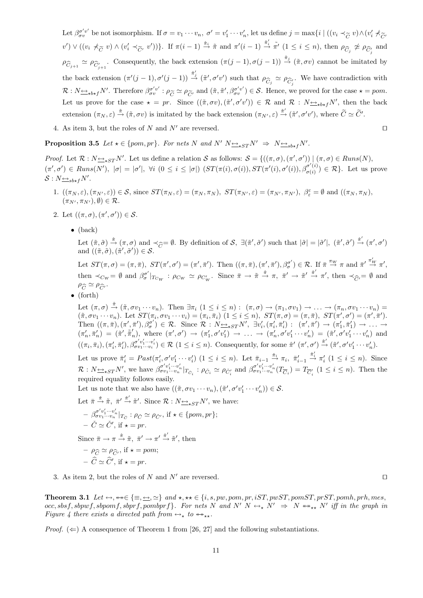- Let  $\beta_{\sigma v}^{\sigma' v'}$  be not isomorphism. If  $\sigma = v_1 \cdots v_n$ ,  $\sigma' = v'_1 \cdots v'_n$ , let us define  $j = \max\{i \mid ((v_i \prec_{\widetilde{C}} v) \wedge (v'_i \not\prec_{\widetilde{C}} v'_i \land \sigma'_i \not\prec_{\widetilde{C}} v'_i \land \sigma'_i \not\prec_{\widetilde{C}} v'_i \land \sigma'_i \not\prec_{\widetilde{C}} v'_i \land \sigma'_i \not\prec_{\widetilde{C}} v'_i \$  $(v') \vee ((v_i \not\prec_{\widetilde{C}} v) \wedge (v'_i \prec_{\widetilde{C'}} v'))\}$ . If  $\pi(i-1) \stackrel{\hat{\pi}_i}{\rightarrow} \tilde{\pi}$  and  $\pi'(i-1) \stackrel{\hat{\pi}'_i}{\rightarrow} \tilde{\pi}'$   $(1 \leq i \leq n)$ , then  $\rho_{\widehat{C}_j} \not\cong \rho_{\widehat{C}'_j}$  and  $\rho_{\widehat{C}_{j+1}} \simeq \rho_{\widehat{C}'_{j+1}}$ . Consequently, the back extension  $(\pi(j-1), \sigma(j-1)) \stackrel{\hat{\pi}_j}{\rightarrow} (\tilde{\pi}, \sigma v)$  cannot be imitated by the back extension  $(\pi'(j-1), \sigma'(j-1)) \stackrel{\hat{\pi}'_j}{\rightarrow} (\tilde{\pi}', \sigma'v')$  such that  $\rho_{\widehat{C}_j} \simeq \rho_{\widehat{C}_j'}$ . We have contradiction with  $\mathcal{R}: N \rightarrow_{\mathbf{b}\star f} N'.$  Therefore  $\beta_{\sigma v}^{\sigma'v'} : \rho_{\widetilde{C}} \simeq \rho_{\widetilde{C}'}$  and  $(\tilde{\pi}, \tilde{\pi}', \beta_{\sigma v}^{\sigma'v'}) \in \mathcal{S}$ . Hence, we proved for the case  $\star = pom$ . Let us prove for the case  $\star = pr$ . Since  $((\tilde{\pi}, \sigma v), (\tilde{\pi}', \sigma' v')) \in \mathcal{R}$  and  $\mathcal{R} : N \rightarrow \star b \star f N'$ , then the back extension  $(\pi_N, \varepsilon) \stackrel{\tilde{\pi}}{\rightarrow} (\tilde{\pi}, \sigma v)$  is imitated by the back extension  $(\pi_{N'}, \varepsilon) \stackrel{\tilde{\pi}'}{\rightarrow} (\tilde{\pi}', \sigma' v')$ , where  $\tilde{C} \simeq \tilde{C}'$ .
- 4. As item 3, but the roles of N and N' are reversed.  $\square$

**Proposition 3.5** Let  $\star \in \{pom, pr\}$ . For nets N and N'  $N \rightarrow \star_{S} N' \Rightarrow N \rightarrow \star_{s} N'$ .

Proof. Let  $\mathcal{R}: N \rightarrow \text{S}$   $\rightarrow$   $N'.$  Let us define a relation S as follows:  $\mathcal{S} = \{((\pi, \sigma), (\pi', \sigma')) \mid (\pi, \sigma) \in \text{Runs}(N),\}$  $(\pi', \sigma') \in \text{Runs}(N'), |\sigma| = |\sigma'|$ ,  $\forall i \ (0 \leq i \leq |\sigma|) \ (ST(\pi(i), \sigma(i)), ST(\pi'(i), \sigma'(i)), \beta^{o'(i)}_{\sigma(i)})$  $(\sigma(i)) \in \mathcal{R}$ . Let us prove  $S: N_{\frac{\leftrightarrow}{\sim} sb \star f} N'$ .

- 1.  $((\pi_N, \varepsilon), (\pi_{N'}, \varepsilon)) \in S$ , since  $ST(\pi_N, \varepsilon) = (\pi_N, \pi_N)$ ,  $ST(\pi_{N'}, \varepsilon) = (\pi_{N'}, \pi_{N'})$ ,  $\beta_{\varepsilon}^{\varepsilon} = \emptyset$  and  $((\pi_N, \pi_N)$ ,  $(\pi_{N'}, \pi_{N'}) , \emptyset) \in \mathcal{R}.$
- 2. Let  $((\pi,\sigma),(\pi',\sigma')) \in \mathcal{S}$ .
	- (back)

Let  $(\tilde{\pi}, \tilde{\sigma}) \stackrel{\hat{\pi}}{\rightarrow} (\pi, \sigma)$  and  $\prec_{\widehat{C}} = \emptyset$ . By definition of S,  $\exists (\tilde{\pi}', \tilde{\sigma}')$  such that  $|\tilde{\sigma}| = |\tilde{\sigma}'|$ ,  $(\tilde{\pi}', \tilde{\sigma}') \stackrel{\hat{\pi}'}{\rightarrow} (\pi', \sigma')$ and  $((\tilde{\pi}, \tilde{\sigma}), (\tilde{\pi}', \tilde{\sigma}')) \in \mathcal{S}$ .

Let  $ST(\pi, \sigma) = (\pi, \overline{\pi}), ST(\pi', \sigma') = (\pi', \overline{\pi}').$  Then  $((\pi, \overline{\pi}), (\pi', \overline{\pi}'), \beta^{\sigma'}_{\sigma}) \in \mathcal{R}$ . If  $\overline{\pi} \stackrel{\pi_W}{\to} \pi$  and  $\overline{\pi}' \stackrel{\pi'_W}{\to} \pi'$ , then  $\prec_{C_W} = \emptyset$  and  $\beta_{\sigma}^{\sigma'}|_{T_{C_W}}$  :  $\rho_{C_W} \simeq \rho_{C_W'}$ . Since  $\bar{\pi} \to \tilde{\pi} \stackrel{\hat{\pi}}{\to} \pi$ ,  $\bar{\pi}' \to \tilde{\pi}' \stackrel{\hat{\pi}'}{\to} \pi'$ , then  $\prec_{\widehat{C}} = \emptyset$  and  $\rho_{\widehat{C}} \simeq \rho_{\widehat{C}'}$ .

• (forth)

Let  $(\pi,\sigma) \stackrel{\hat{\pi}}{\rightarrow} (\tilde{\pi},\sigma v_1 \cdots v_n)$ . Then  $\exists \pi_i$   $(1 \leq i \leq n)$ :  $(\pi,\sigma) \rightarrow (\pi_1,\sigma v_1) \rightarrow \cdots \rightarrow (\pi_n,\sigma v_1 \cdots v_n)$  $(\tilde{\pi}, \sigma v_1 \cdots v_n)$ . Let  $ST(\pi_i, \sigma v_1 \cdots v_i) = (\pi_i, \bar{\pi}_i)$   $(1 \leq i \leq n)$ ,  $ST(\pi, \sigma) = (\pi, \bar{\pi})$ ,  $ST(\pi', \sigma') = (\pi', \bar{\pi}')$ . Then  $((\pi, \bar{\pi}), (\pi', \bar{\pi}'), \beta_{\sigma}^{\sigma'}) \in \mathcal{R}$ . Since  $\mathcal{R} : N \rightarrow \pi N'$ ,  $\exists v_i', (\pi_i', \bar{\pi}_i') : (\pi', \bar{\pi}') \rightarrow (\pi_1', \bar{\pi}_1') \rightarrow \ldots$  $(\pi'_n, \bar{\pi}'_n) = (\tilde{\pi}', \tilde{\pi}'_n)$ , where  $(\pi', \sigma') \rightarrow (\pi'_1, \sigma' v'_1) \rightarrow \ldots \rightarrow (\pi'_n, \sigma' v'_1 \cdots v'_n) = (\tilde{\pi}', \sigma' v'_1 \cdots v'_n)$  and  $((\pi_i, \bar{\pi}_i), (\pi'_i, \bar{\pi}'_i), \beta^{\sigma'v'_1 \cdots v'_i}_{\sigma v_1 \cdots v_i}) \in \mathcal{R} \ (1 \leq i \leq n)$ . Consequently, for some  $\hat{\pi}'(\pi', \sigma') \stackrel{\hat{\pi}'}{\rightarrow} (\tilde{\pi}', \sigma' v'_1 \cdots v'_n)$ .

Let us prove  $\bar{\pi}'_i = Past(\pi'_i, \sigma'v'_1 \cdots v'_i)$   $(1 \leq i \leq n)$ . Let  $\bar{\pi}_{i-1} \stackrel{\check{\pi}_i}{\rightarrow} \pi_i$ ,  $\bar{\pi}'_{i-1}$  $\stackrel{\check{\pi}'_i}{\rightarrow} \pi'_i \ (1 \leq i \leq n)$ . Since  $\mathcal{R}: N_{\frac{\leftrightarrow}{\infty}ST}N'$ , we have  $\beta_{\sigma v_1\cdots v_n}^{\sigma' v'_1\cdots v'_n}|_{T_{\tilde{C}_i}}: \rho_{\tilde{C}_i} \simeq \rho_{\tilde{C}_i'}$  and  $\beta_{\sigma v_1\cdots v_n}^{\sigma' v'_1\cdots v'_n}(T_{\overline{C}_i})=T_{\overline{C}_i'}$   $(1 \leq i \leq n)$ . Then the required equality follows easily.

Let us note that we also have  $((\tilde{\pi}, \sigma v_1 \cdots v_n), (\tilde{\pi}', \sigma' v'_1 \cdots v'_n)) \in S$ .

Let 
$$
\bar{\pi} \stackrel{\check{\pi}}{\to} \tilde{\pi}
$$
,  $\bar{\pi}' \stackrel{\check{\pi}'}{\to} \tilde{\pi}'$ . Since  $\mathcal{R} : N \underline{\leftrightarrow}_{\star ST} N'$ , we have:  
\n $\begin{aligned}\n&-\beta_{\sigma v_1 \cdots v_n}^{\sigma' v_1' \cdots v_n'}|_{T_{\check{C}}} : \rho_{\check{C}} \simeq \rho_{\check{C}'}, \text{ if } \star \in \{pom, pr\}; \\
&-\check{C} \simeq \check{C}', \text{ if } \star = pr.\n\end{aligned}$ 

Since  $\bar{\pi} \to \pi \stackrel{\hat{\pi}}{\to} \tilde{\pi}, \ \bar{\pi}' \to \pi' \stackrel{\hat{\pi}'}{\to} \tilde{\pi}', \text{ then}$ 

$$
- \rho_{\widehat{C}} \simeq \rho_{\widehat{C}'}, \text{ if } \star = pom; - \widehat{C} \simeq \widehat{C}', \text{ if } \star = pr.
$$

3. As item 2, but the roles of N and N' are reversed.  $\square$ 

Theorem 3.1 Let  $\leftrightarrow$ ,  $\leftrightarrow \in \{\equiv, \leftrightarrow, \simeq\}$  and  $\star$ ,  $\star \star \in \{i, s, pw, pom, pr, iST, pwST, pomST, prST, pomh, prh, mes,$  $occ, sbsf, sbpwf, sbpomf, sbprf, pombprf$ . For nets N and N'  $N \leftrightarrow_{\star} N' \Rightarrow N \leftrightarrow_{\star \star} N'$  iff in the graph in Figure 4 there exists a directed path from  $\leftrightarrow_{\star}$  to  $\leftrightarrow_{\star\star}$ .

*Proof.*  $(\Leftarrow)$  A consequence of Theorem 1 from [26, 27] and the following substantiations.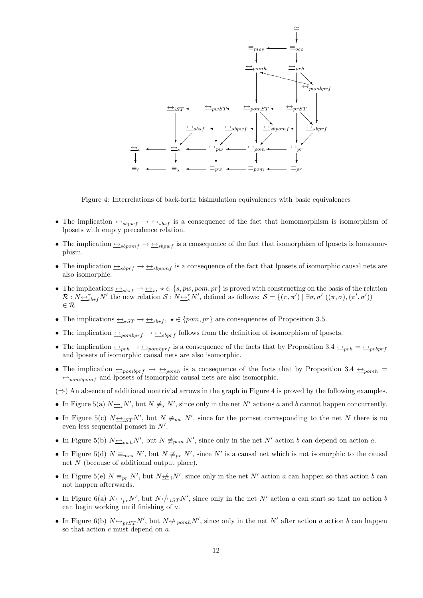

Figure 4: Interrelations of back-forth bisimulation equivalences with basic equivalences

- The implication ↔sbpwf → ↔sbsf is a consequence of the fact that homomorphism is isomorphism of lposets with empty precedence relation.
- The implication ↔sbpomf → ↔sbpwf is a consequence of the fact that isomorphism of lposets is homomorphism.
- The implication ↔sbprf → ↔sbpomf is a consequence of the fact that lposets of isomorphic causal nets are also isomorphic.
- The implications  $\iff_{sbtf} \to \iff$ ,  $\star \in \{s, pw, pom, pr\}$  is proved with constructing on the basis of the relation  $\mathcal{R}: N_{\frac{\alpha}{2}S_{\alpha}}N'$  the new relation  $\mathcal{S}: N_{\frac{\alpha}{2}N'}N'$ , defined as follows:  $\mathcal{S} = \{(\pi, \pi') \mid \exists \sigma, \sigma' ((\pi, \sigma), (\pi', \sigma'))\}$  $\in \mathcal{R}$ .
- The implications  $\rightarrow_{\star ST} \rightarrow \rightarrow_{\star}$ ,  $\star \in \{pom, pr\}$  are consequences of Proposition 3.5.
- The implication  $\rightarrow_{\text{pombprf}} \rightarrow \rightarrow_{\text{sbprf}}$  follows from the definition of isomorphism of lposets.
- The implication  $\frac{p}{p}$   $\rightarrow$   $\frac{p}{p}$   $\rightarrow$   $\frac{p}{p}$  is a consequence of the facts that by Proposition 3.4  $\frac{p}{p}$   $\rightarrow$   $\frac{p}{p}$ and lposets of isomorphic causal nets are also isomorphic.
- The implication  $\frac{1}{2}$   $\frac{1}{2}$   $\frac{1}{2}$   $\frac{1}{2}$   $\frac{1}{2}$   $\frac{1}{2}$  is a consequence of the facts that by Proposition 3.4  $\frac{1}{2}$   $\frac{1}{2}$  $\leftrightarrow_{pombpomf}$  and lposets of isomorphic causal nets are also isomorphic.
- $(\Rightarrow)$  An absence of additional nontrivial arrows in the graph in Figure 4 is proved by the following examples.
- In Figure 5(a)  $N \rightarrow N'$ , but  $N \not\equiv_s N'$ , since only in the net N' actions a and b cannot happen concurrently.
- In Figure 5(c)  $N \rightarrow_{iST} N'$ , but  $N \not\equiv_{pw} N'$ , since for the pomset corresponding to the net N there is no even less sequential pomset in  $N'$ .
- In Figure 5(b)  $N \rightarrow_{pub} N'$ , but  $N \not\equiv_{pop} N'$ , since only in the net N' action b can depend on action a.
- In Figure 5(d)  $N \equiv_{mes} N'$ , but  $N \not\equiv_{pr} N'$ , since N' is a causal net which is not isomorphic to the causal net  $N$  (because of additional output place).
- In Figure 5(e)  $N \equiv_{pr} N'$ , but  $N \not\equiv_i N'$ , since only in the net N' action a can happen so that action b can not happen afterwards.
- In Figure 6(a)  $N \nightharpoonup_{pr} N'$ , but  $N \nightharpoonup_{i} i_{S} T N'$ , since only in the net N' action a can start so that no action b can begin working until finishing of a.
- In Figure 6(b)  $N \Leftrightarrow_{prST} N'$ , but  $N \Leftrightarrow_{pcmh} N'$ , since only in the net N' after action a action b can happen so that action c must depend on a.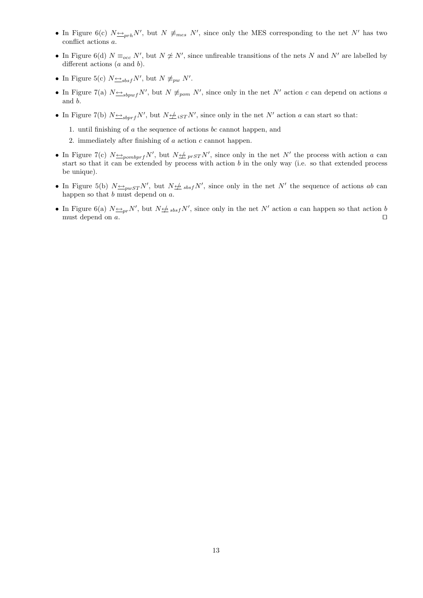- In Figure 6(c)  $N \rightarrow p r h N'$ , but  $N \not\equiv_{mes} N'$ , since only the MES corresponding to the net N' has two conflict actions a.
- In Figure 6(d)  $N \equiv_{occ} N'$ , but  $N \not\cong N'$ , since unfireable transitions of the nets N and N' are labelled by different actions (*a* and *b*).
- In Figure 5(c)  $N \underline{\leftrightarrow}_{sbsf} N'$ , but  $N \not\equiv_{pw} N'$ .
- In Figure 7(a)  $N \rightarrow_{sbpwf} N'$ , but  $N \not\equiv_{pom} N'$ , since only in the net N' action c can depend on actions a and b.
- In Figure 7(b)  $N \rightarrow_{sbprf} N'$ , but  $N \not\rightarrow_{iST} N'$ , since only in the net N' action a can start so that:

1. until finishing of  $\alpha$  the sequence of actions  $bc$  cannot happen, and

2. immediately after finishing of  $a$  action  $c$  cannot happen.

- In Figure 7(c)  $N \rightarrow p_{\text{combrf}} N'$ , but  $N \not\rightarrow p_{\text{rST}} N'$ , since only in the net N' the process with action a can start so that it can be extended by process with action  $b$  in the only way (i.e. so that extended process be unique).
- In Figure 5(b)  $N \rightarrow_{pwST} N'$ , but  $N \not\rightarrow sbsf N'$ , since only in the net N' the sequence of actions ab can happen so that  $b$  must depend on  $a$ .
- In Figure 6(a)  $N \nightharpoonup_{pr} N'$ , but  $N \nightharpoonup_{sbsf} N'$ , since only in the net N' action a can happen so that action b must depend on  $a$ .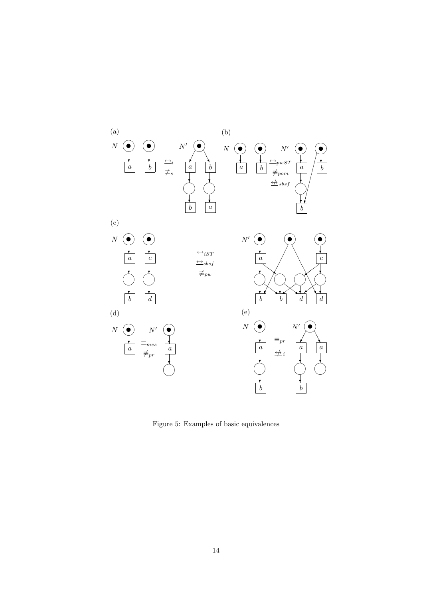

Figure 5: Examples of basic equivalences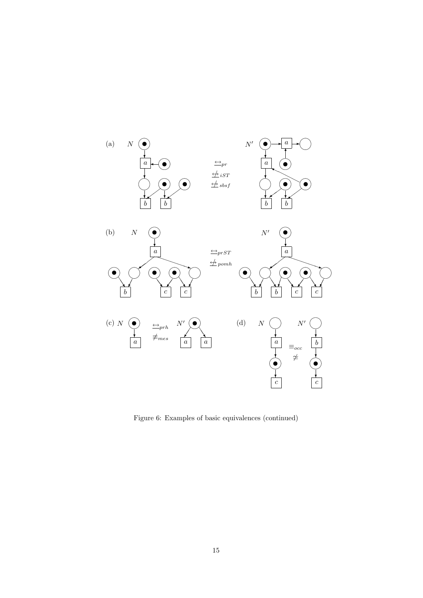

Figure 6: Examples of basic equivalences (continued)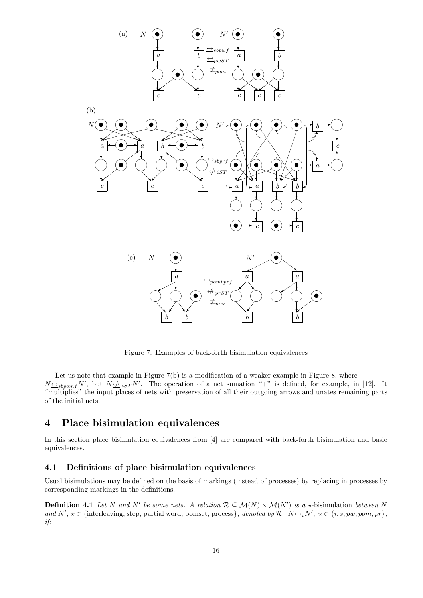

Figure 7: Examples of back-forth bisimulation equivalences

Let us note that example in Figure 7(b) is a modification of a weaker example in Figure 8, where  $N \rightarrow s_{b\text{p}omf} N'$ , but  $N \not\rightarrow i_{ST} N'$ . The operation of a net sumation "+" is defined, for example, in [12]. It "multiplies" the input places of nets with preservation of all their outgoing arrows and unates remaining parts of the initial nets.

## 4 Place bisimulation equivalences

In this section place bisimulation equivalences from [4] are compared with back-forth bisimulation and basic equivalences.

### 4.1 Definitions of place bisimulation equivalences

Usual bisimulations may be defined on the basis of markings (instead of processes) by replacing in processes by corresponding markings in the definitions.

**Definition 4.1** Let N and N' be some nets. A relation  $\mathcal{R} \subseteq \mathcal{M}(N) \times \mathcal{M}(N')$  is a  $\star$ -bisimulation between N and  $N', \star \in \{\text{interleaving, step, partial word, pomset, process}\},\ denoted\ by\ \mathcal{R}: N \rightarrow N',\ \star \in \{i, s, pw, pom, pr\},\$ if: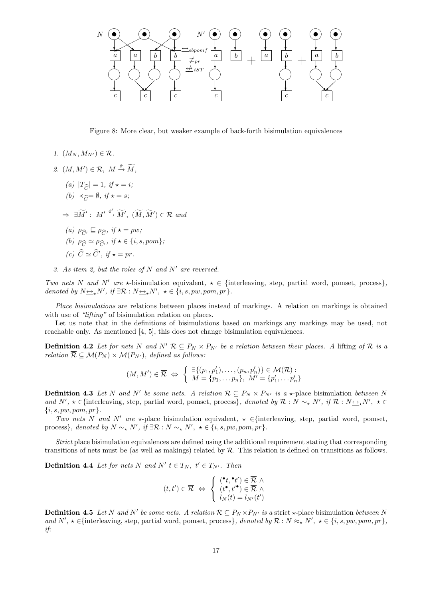

Figure 8: More clear, but weaker example of back-forth bisimulation equivalences

- 1.  $(M_N, M_{N'}) \in \mathcal{R}$ .
- 2.  $(M, M') \in \mathcal{R}, M \stackrel{\hat{\pi}}{\rightarrow} \widetilde{M},$ 
	- (a)  $|T_{\widehat{C}}| = 1, \text{ if } \star = i;$
	- (b)  $\prec_{\widehat{G}} = \emptyset$ , if  $\star = s$ ;

 $\Rightarrow \exists \widetilde{M}' : M' \stackrel{\hat{\pi}'}{\rightarrow} \widetilde{M}', (\widetilde{M}, \widetilde{M}') \in \mathcal{R}$  and

- (a)  $\rho_{\widehat{C}'} \sqsubseteq \rho_{\widehat{C}}$ , if  $\star = pw$ ; (b)  $\rho_{\widehat{C}} \simeq \rho_{\widehat{C}}$ , if  $\star \in \{i, s, pom\};$
- (c)  $\widehat{C} \simeq \widehat{C}'$ , if  $\star = pr$ .
- 3. As item 2, but the roles of  $N$  and  $N'$  are reversed.

Two nets N and N' are  $\star$ -bisimulation equivalent,  $\star \in \{\text{interleaving}, \text{step}, \text{partial word}, \text{pomset}, \text{process}\}\$ denoted by  $N_{\sumq N}$ , if  $\exists \mathcal{R} : N_{\sumq N}$ ,  $\star \in \{i, s, pw, pom, pr\}$ .

Place bisimulations are relations between places instead of markings. A relation on markings is obtained with use of "lifting" of bisimulation relation on places.

Let us note that in the definitions of bisimulations based on markings any markings may be used, not reachable only. As mentioned [4, 5], this does not change bisimulation equivalences.

**Definition 4.2** Let for nets N and N'  $\mathcal{R} \subseteq P_N \times P_{N'}$  be a relation between their places. A lifting of R is a relation  $\overline{\mathcal{R}} \subseteq \mathcal{M}(P_N) \times \mathcal{M}(P_{N'})$ , defined as follows:

$$
(M, M') \in \overline{\mathcal{R}} \iff \left\{ \begin{array}{l} \exists \{(p_1, p'_1), \ldots, (p_n, p'_n)\} \in \mathcal{M}(\mathcal{R}) : \\ M = \{p_1, \ldots p_n\}, M' = \{p'_1, \ldots p'_n\} \end{array} \right.
$$

**Definition 4.3** Let N and N' be some nets. A relation  $\mathcal{R} \subseteq P_N \times P_{N'}$  is a  $\star$ -place bisimulation between N and  $N'$ ,  $\star \in \{\text{interleaving, step, partial word, pomset, process}\}\$ , denoted by  $\mathcal{R}: N \sim_{\star} N'$ , if  $\overline{\mathcal{R}}: N \rightarrow_{\star} N'$ ,  $\star \in$  $\{i, s, pw, pom, pr\}.$ 

Two nets N and N' are  $\star$ -place bisimulation equivalent,  $\star \in$ {interleaving, step, partial word, pomset, process}, denoted by  $N \sim_{\star} N'$ , if  $\exists \mathcal{R} : N \sim_{\star} N'$ ,  $\star \in \{i, s, pw, pom, pr\}.$ 

Strict place bisimulation equivalences are defined using the additional requirement stating that corresponding transitions of nets must be (as well as makings) related by  $\overline{\mathcal{R}}$ . This relation is defined on transitions as follows.

**Definition 4.4** Let for nets N and N'  $t \in T_N$ ,  $t' \in T_{N'}$ . Then

$$
(t,t') \in \overline{\mathcal{R}} \iff \left\{ \begin{array}{l} (\mathbf{t}, \mathbf{t}') \in \overline{\mathcal{R}} \land \\ (t^{\bullet}, t'^{\bullet}) \in \overline{\mathcal{R}} \land \\ l_N(t) = l_{N'}(t') \end{array} \right.
$$

**Definition 4.5** Let N and N' be some nets. A relation  $\mathcal{R} \subseteq P_N \times P_{N'}$  is a strict  $\star$ -place bisimulation between N and  $N', \star \in \{\text{interleaving, step, partial word, pomset, process}\}, denoted by \mathcal{R} : N \approx_{\star} N', \star \in \{i, s, pw, pom, pr\},\$ if: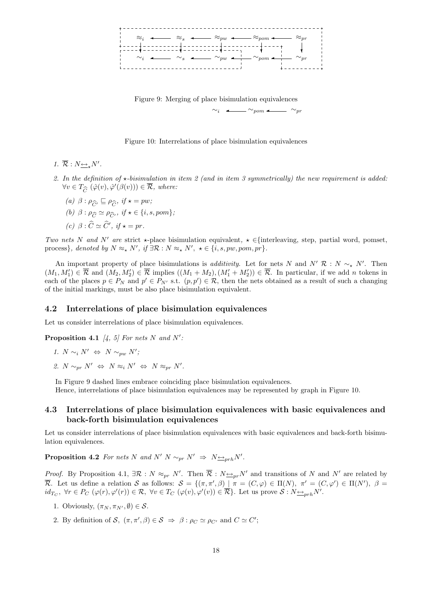

Figure 9: Merging of place bisimulation equivalences  $\sim_{\text{nom}}$   $\leftarrow$   $\sim_{\text{nr}}$ 

Figure 10: Interrelations of place bisimulation equivalences

- 1.  $\overline{\mathcal{R}} : N \rightarrow N'.$
- 2. In the definition of  $\star$ -bisimulation in item 2 (and in item 3 symmetrically) the new requirement is added:  $\forall v \in T_{\widehat{C}} (\widehat{\varphi}(v), \widehat{\varphi}'(\beta(v))) \in \overline{\mathcal{R}}, \ where:$ 
	- (a)  $\beta : \rho_{\widehat{C}}$ ,  $\sqsubseteq \rho_{\widehat{C}}$ , if  $\star = pw$ ;
	- (b)  $\beta : \rho_{\widehat{C}} \simeq \rho_{\widehat{C}}$ , if  $\star \in \{i, s, pom\};$
	- (c)  $\beta : \widehat{C} \simeq \widehat{C}'$ , if  $\star = pr$ .

Two nets N and N' are strict  $\star$ -place bisimulation equivalent,  $\star \in \{\text{interleaving, step, partial word, pomset,}\}$ process}, denoted by  $N \approx_{\star} N'$ , if  $\exists \mathcal{R} : N \approx_{\star} N'$ ,  $\star \in \{i, s, pw, pom, pr\}$ .

An important property of place bisimulations is *additivity*. Let for nets N and N' R : N  $\sim_{\star} N'$ . Then  $(M_1, M'_1) \in \overline{\mathcal{R}}$  and  $(M_2, M'_2) \in \overline{\mathcal{R}}$  implies  $((M_1 + M_2), (M'_1 + M'_2)) \in \overline{\mathcal{R}}$ . In particular, if we add *n* tokens in each of the places  $p \in P_N$  and  $p' \in P_{N'}$  s.t.  $(p, p') \in \mathcal{R}$ , then the nets obtained as a result of such a changing of the initial markings, must be also place bisimulation equivalent.

#### 4.2 Interrelations of place bisimulation equivalences

Let us consider interrelations of place bisimulation equivalences.

**Proposition 4.1** [4, 5] For nets N and N':

- 1.  $N \sim_i N' \Leftrightarrow N \sim_{pw} N'$ ;
- 2.  $N \sim_{pr} N' \Leftrightarrow N \approx_i N' \Leftrightarrow N \approx_{pr} N'.$

In Figure 9 dashed lines embrace coinciding place bisimulation equivalences.

Hence, interrelations of place bisimulation equivalences may be represented by graph in Figure 10.

### 4.3 Interrelations of place bisimulation equivalences with basic equivalences and back-forth bisimulation equivalences

Let us consider interrelations of place bisimulation equivalences with basic equivalences and back-forth bisimulation equivalences.

**Proposition 4.2** For nets N and N' N  $\sim_{pr} N' \Rightarrow N \rightarrow_{prh} N'.$ 

*Proof.* By Proposition 4.1,  $\exists \mathcal{R}: N \approx_{pr} N'$ . Then  $\overline{\mathcal{R}}: N \rightarrow_{pr} N'$  and transitions of N and N' are related by  $\overline{\mathcal{R}}$ . Let us define a relation S as follows:  $S = \{(\pi, \pi', \beta) | \pi = (C, \varphi) \in \Pi(N), \pi' = (C, \varphi') \in \Pi(N'), \beta =$  $id_{T_C}$ ,  $\forall r \in P_C$   $(\varphi(r), \varphi'(r)) \in \mathcal{R}$ ,  $\forall v \in T_C$   $(\varphi(v), \varphi'(v)) \in \overline{\mathcal{R}}$ . Let us prove  $\mathcal{S}: N_{\frac{\leftrightarrow}{\varphi} ph} N'$ .

- 1. Obviously,  $(\pi_N, \pi_{N'}, \emptyset) \in \mathcal{S}$ .
- 2. By definition of S,  $(\pi, \pi', \beta) \in S \implies \beta : \rho_C \simeq \rho_{C'}$  and  $C \simeq C'$ ;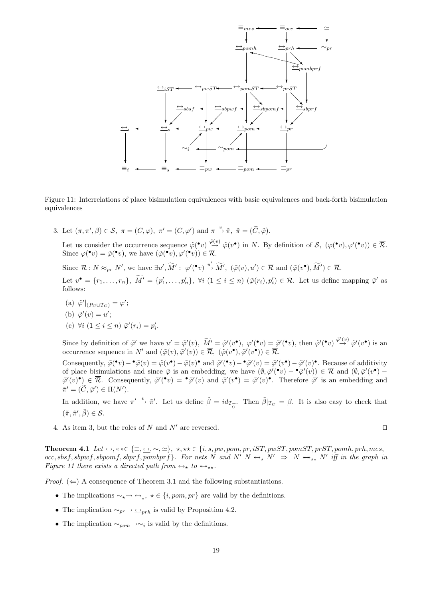

Figure 11: Interrelations of place bisimulation equivalences with basic equivalences and back-forth bisimulation equivalences

3. Let  $(\pi, \pi', \beta) \in \mathcal{S}, \ \pi = (C, \varphi), \ \pi' = (C, \varphi') \text{ and } \pi \stackrel{v}{\rightarrow} \tilde{\pi}, \ \tilde{\pi} = (\tilde{C}, \tilde{\varphi}).$ 

Let us consider the occurrence sequence  $\tilde{\varphi}(\cdot v) \stackrel{\tilde{\varphi}(v)}{\rightarrow} \tilde{\varphi}(v\cdot)$  in N. By definition of  $\mathcal{S}, (\varphi(\cdot v), \varphi'(\cdot v)) \in \overline{\mathcal{R}}$ . Since  $\varphi(\mathbf{v}) = \tilde{\varphi}(\mathbf{v})$ , we have  $(\tilde{\varphi}(\mathbf{v}), \varphi'(\mathbf{v})) \in \overline{\mathcal{R}}$ .

Since  $\mathcal{R}: N \approx_{pr} N'$ , we have  $\exists u', \widetilde{M}' : \varphi'(\bullet v) \xrightarrow{u'} \widetilde{M}'$ ,  $(\tilde{\varphi}(v), u') \in \overline{\mathcal{R}}$  and  $(\tilde{\varphi}(v^{\bullet}), \widetilde{M}') \in \overline{\mathcal{R}}$ .

Let  $v^{\bullet} = \{r_1, \ldots, r_n\}, \ \widetilde{M}' = \{p'_1, \ldots, p'_n\}, \ \forall i \ (1 \leq i \leq n) \ (\tilde{\varphi}(r_i), p'_i) \in \mathcal{R}$ . Let us define mapping  $\tilde{\varphi}'$  as follows:

(a)  $\tilde{\varphi}'|_{(P_C \cup T_C)} = \varphi';$ (b)  $\tilde{\varphi}'(v) = u';$ (c)  $\forall i \ (1 \leq i \leq n) \ \tilde{\varphi}'(r_i) = p'_i.$ 

Since by definition of  $\tilde{\varphi}'$  we have  $u' = \tilde{\varphi}'(v)$ ,  $\widetilde{M}' = \tilde{\varphi}'(v^{\bullet})$ ,  $\varphi'(\bullet v) = \tilde{\varphi}'(\bullet v)$ , then  $\tilde{\varphi}'(\bullet v) \overset{\tilde{\varphi}'(v)}{\to} \tilde{\varphi}'(v^{\bullet})$  is an occurrence sequence in N' and  $(\tilde{\varphi}(v), \tilde{\varphi}'(v)) \in \overline{\mathcal{R}}$ ,  $(\tilde{\varphi}(v^{\bullet}), \tilde{\varphi}'(v^{\bullet})) \in \overline{\mathcal{R}}$ .

Consequently,  $\tilde{\varphi}(\mathbf{v}) - \tilde{\varphi}(v) = \tilde{\varphi}(v) - \tilde{\varphi}(v)$  and  $\tilde{\varphi}'(\mathbf{v}) - \tilde{\varphi}'(v) = \tilde{\varphi}'(v) - \tilde{\varphi}'(v)$ . Because of additivity of place bisimulations and since  $\tilde{\varphi}$  is an embedding, we have  $(\emptyset, \tilde{\varphi}'(r)) - \tilde{\varphi}'(v) \in \overline{\mathcal{R}}$  and  $(\emptyset, \tilde{\varphi}'(v)) \tilde{\varphi}'(v) \bullet \equiv \overline{\mathcal{R}}$ . Consequently,  $\tilde{\varphi}'(\bullet v) = \bullet \tilde{\varphi}'(v)$  and  $\tilde{\varphi}'(v \bullet) = \tilde{\varphi}'(v) \bullet$ . Therefore  $\tilde{\varphi}'$  is an embedding and  $\tilde{\pi}' = (\tilde{C}, \tilde{\varphi}') \in \Pi(N').$ 

In addition, we have  $\pi' \stackrel{v}{\rightarrow} \tilde{\pi}'$ . Let us define  $\tilde{\beta} = id_{T_{\widetilde{C}}^{\sim}}$ . Then  $\tilde{\beta}|_{T_{C}} = \beta$ . It is also easy to check that  $(\tilde{\pi}, \tilde{\pi}', \tilde{\beta}) \in \mathcal{S}.$ 

4. As item 3, but the roles of N and N' are reversed.  $\square$ 

Theorem 4.1 Let ↔, ↔↔∈ {≡, ↔, ∼, '}, ?, ?? ∈ {i, s, pw, pom, pr, iST, pwST, pomST, prST, pomh, prh, mes,  $occ, sbsf, sbpwf, sbpomf, sbprf, pombprf$ . For nets N and N'  $N \leftrightarrow_{\star} N' \Rightarrow N \leftrightarrow_{\star \star} N'$  iff in the graph in Figure 11 there exists a directed path from  $\leftrightarrow_{\star}$  to  $\leftrightarrow_{\star\star}$ .

*Proof.* ( $\Leftarrow$ ) A consequence of Theorem 3.1 and the following substantiations.

- The implications  $\sim_{\star} \rightarrow \underline{\leftrightarrow}_{\star}$ ,  $\star \in \{i, pom, pr\}$  are valid by the definitions.
- The implication  $\sim_{pr} \rightarrow \underline{\leftrightarrow}_{prh}$  is valid by Proposition 4.2.
- The implication  $\sim_{\text{pom}} \rightarrow \sim_i$  is valid by the definitions.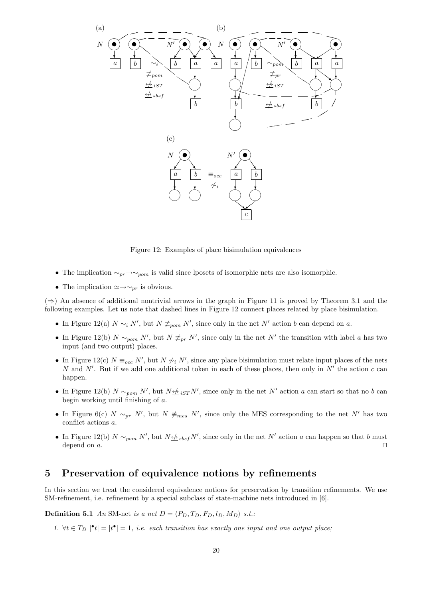

Figure 12: Examples of place bisimulation equivalences

- The implication  $\sim_{pr} \rightarrow \sim_{pom}$  is valid since lposets of isomorphic nets are also isomorphic.
- The implication  $\simeq \rightarrow \sim_{pr}$  is obvious.

 $(\Rightarrow)$  An absence of additional nontrivial arrows in the graph in Figure 11 is proved by Theorem 3.1 and the following examples. Let us note that dashed lines in Figure 12 connect places related by place bisimulation.

- In Figure 12(a)  $N \sim_i N'$ , but  $N \not\equiv_{\text{pom}} N'$ , since only in the net N' action b can depend on a.
- In Figure 12(b)  $N \sim_{\text{pom}} N'$ , but  $N \neq_{\text{pr}} N'$ , since only in the net N' the transition with label a has two input (and two output) places.
- In Figure 12(c)  $N \equiv_{occ} N'$ , but  $N \not\sim_i N'$ , since any place bisimulation must relate input places of the nets N and N'. But if we add one additional token in each of these places, then only in  $N'$  the action c can happen.
- In Figure 12(b)  $N \sim_{\text{pom}} N'$ , but  $N \neq_{iST} N'$ , since only in the net N' action a can start so that no b can begin working until finishing of a.
- In Figure 6(c)  $N \sim_{pr} N'$ , but  $N \neq_{mes} N'$ , since only the MES corresponding to the net N' has two conflict actions a.
- In Figure 12(b)  $N \sim_{\text{pom}} N'$ , but  $N \nleq_{\text{sbsf}} N'$ , since only in the net N' action a can happen so that b must depend on a.  $\square$

## 5 Preservation of equivalence notions by refinements

In this section we treat the considered equivalence notions for preservation by transition refinements. We use SM-refinement, i.e. refinement by a special subclass of state-machine nets introduced in [6].

**Definition 5.1** An SM-net is a net  $D = \langle P_D, T_D, F_D, l_D, M_D \rangle$  s.t.:

1.  $\forall t \in T_D \mid t \mid t^{\bullet} \mid = 1$ , i.e. each transition has exactly one input and one output place;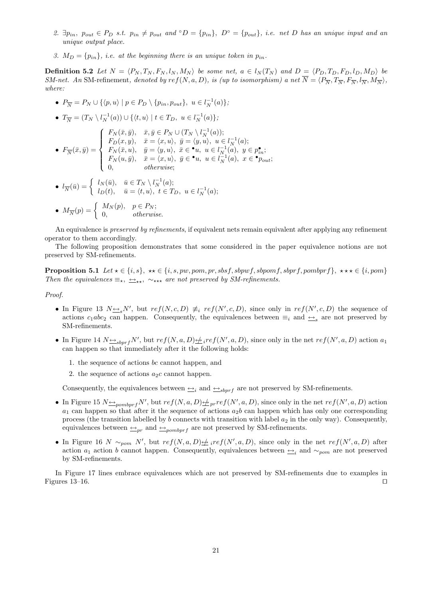- 2.  $\exists p_{in}$ ,  $p_{out} \in P_D$  s.t.  $p_{in} \neq p_{out}$  and  $\circ D = \{p_{in}\}, D^{\circ} = \{p_{out}\}, i.e.$  net D has an unique input and an unique output place.
- 3.  $M_D = \{p_{in}\}\$ , i.e. at the beginning there is an unique token in  $p_{in}$ .

**Definition 5.2** Let  $N = \langle P_N, T_N, F_N, l_N, M_N \rangle$  be some net,  $a \in l_N(T_N)$  and  $D = \langle P_D, T_D, F_D, l_D, M_D \rangle$  be SM-net. An SM-refinement, denoted by  $ref(N, a, D)$ , is (up to isomorphism) a net  $\overline{N} = \langle P_{\overline{N}}, T_{\overline{N}}, F_{\overline{N}}, I_{\overline{N}}, M_{\overline{N}} \rangle$ , where:

- $P_{\overline{N}} = P_N \cup \{ \langle p, u \rangle \mid p \in P_D \setminus \{p_{in}, p_{out}\}, u \in l_N^{-1}(a) \};$ •  $T_{\overline{N}} = (T_N \setminus l_N^{-1}(a)) \cup \{ \langle t, u \rangle \mid t \in T_D, u \in l_N^{-1}(a) \};$  $\bullet$   $F_{\overline{N}}(\bar{x},\bar{y}) =$  $\overline{a}$  $\int$  $\begin{matrix} \phantom{-} \end{matrix}$  $F_N(\bar{x}, \bar{y}), \quad \bar{x}, \bar{y} \in P_N \cup (T_N \setminus l_N^{-1}(a));$  $F_D(x, y), \quad \bar{x} = \langle x, u \rangle, \ \bar{y} = \langle y, u \rangle, \ u \in l_N^{-1}(a);$  $F_N(\bar x, u), \quad \bar y = \langle y, u \rangle, \, \, \bar x \in \mathbf{P} u, \, \, u \in l_{N}^{-1}(\bar a), \, \, y \in p_{in}^\bullet;$  $F_N(u, \bar{y}), \quad \bar{x} = \langle x, u \rangle, \ \bar{y} \in \bullet u, \ u \in l_N^{-1}(a), \ x \in \bullet p_{out};$ 0, otherwise; •  $l_{\overline{N}}(\overline{u}) = \begin{cases} l_N(\overline{u}), & \overline{u} \in T_N \setminus l_N^{-1}(a); \\ l_{\overline{N}}(t) & \overline{u} = \langle t, u \rangle, \ t \in T_k \end{cases}$
- $l_D(t), \quad \bar{u} = \langle t, u \rangle, \ t \in T_D, \ u \in l_N^{-1}(a);$ •  $M_{\overline{N}}(p) = \begin{cases} M_N(p), & p \in P_N; \\ 0 & otherwise \end{cases}$ 0, otherwise.
- An equivalence is preserved by refinements, if equivalent nets remain equivalent after applying any refinement operator to them accordingly.

The following proposition demonstrates that some considered in the paper equivalence notions are not preserved by SM-refinements.

**Proposition 5.1** Let  $\star \in \{i, s\}$ ,  $\star \star \in \{i, s, pw, pom, pr, sbsf, sbpwf, sbpmf, sbprf, pombprf\}$ ,  $\star \star \star \in \{i, pom\}$ Then the equivalences  $\equiv_{\star}$ ,  $\leftrightarrow_{\star\star}$  are not preserved by SM-refinements.

Proof.

- In Figure 13  $N \rightarrow S N'$ , but  $ref(N, c, D) \not\equiv_i ref(N', c, D)$ , since only in  $ref(N', c, D)$  the sequence of actions  $c_1abc_2$  can happen. Consequently, the equivalences between  $\equiv_i$  and  $\rightarrow$  are not preserved by SM-refinements.
- In Figure 14  $N \rightarrow Spprf N'$ , but  $ref(N, a, D) \not=ref(N', a, D)$ , since only in the net  $ref(N', a, D)$  action  $a_1$ can happen so that immediately after it the following holds:
	- 1. the sequence of actions bc cannot happen, and
	- 2. the sequence of actions  $a_2c$  cannot happen.

Consequently, the equivalences between  $\triangleq_i$  and  $\triangleq_{sbprf}$  are not preserved by SM-refinements.

- In Figure 15  $N \triangleq_{pombprf} N'$ , but  $ref(N, a, D) \triangleq_{pr} ref(N', a, D)$ , since only in the net  $ref(N', a, D)$  action  $a_1$  can happen so that after it the sequence of actions  $a_2b$  can happen which has only one corresponding process (the transition labelled by b connects with transition with label  $a_2$  in the only way). Consequently, equivalences between  $\triangleq_{pr}$  and  $\triangleq_{pombprf}$  are not preserved by SM-refinements.
- In Figure 16 N  $\sim_{\text{pom}} N'$ , but  $ref(N, a, D) \neq _{i} ref(N', a, D)$ , since only in the net  $ref(N', a, D)$  after action  $a_1$  action b cannot happen. Consequently, equivalences between  $\rightarrow i$  and  $\sim_{pom}$  are not preserved by SM-refinements.

In Figure 17 lines embrace equivalences which are not preserved by SM-refinements due to examples in Figures 13–16.  $\Box$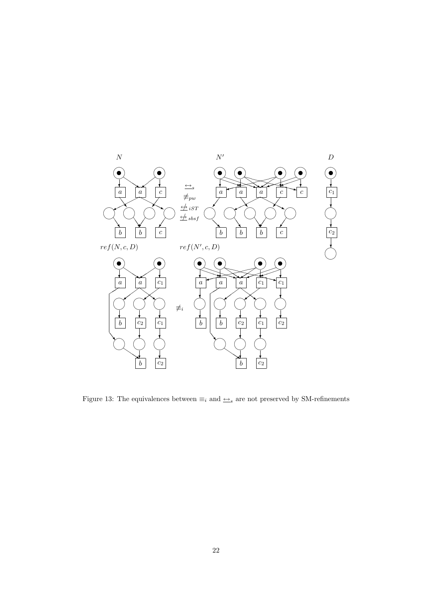

Figure 13: The equivalences between  $\equiv_i$  and  $\rightarrow$ <sub>s</sub> are not preserved by SM-refinements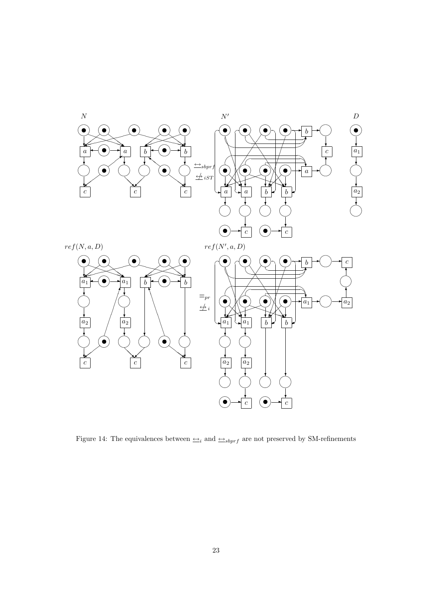

Figure 14: The equivalences between  $\underrightarrow{ \hookrightarrow }_{i}$  and  $\underrightarrow{ \hookrightarrow }_{sbprf}$  are not preserved by SM-refinements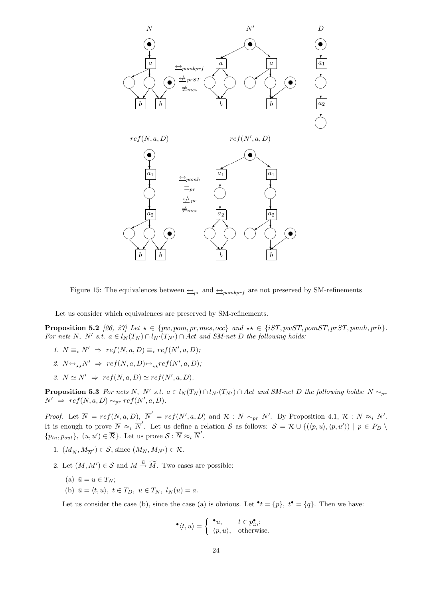

Figure 15: The equivalences between  $\rightarrow_{pr}$  and  $\rightarrow_{pombprf}$  are not preserved by SM-refinements

Let us consider which equivalences are preserved by SM-refinements.

**Proposition 5.2** [26, 27] Let  $\star \in \{pw, pom, pr, mes, occ\}$  and  $\star \star \in \{iST, pwST, pomST, prST, pomh, prh\}.$ For nets N, N' s.t.  $a \in l_N(T_N) \cap l_{N'}(T_{N'}) \cap Act$  and SM-net D the following holds:

- 1.  $N \equiv_{\star} N' \Rightarrow ref(N, a, D) \equiv_{\star} ref(N', a, D);$
- 2.  $N_{\longrightarrow,\star}N' \Rightarrow ref(N,a,D)_{\longrightarrow,\star}ref(N',a,D);$
- 3.  $N \simeq N' \Rightarrow ref(N, a, D) \simeq ref(N', a, D).$

**Proposition 5.3** For nets N, N' s.t.  $a \in l_N(T_N) \cap l_{N'}(T_{N'}) \cap Act$  and SM-net D the following holds: N  $\sim_{pr}$  $N' \Rightarrow ref(N, a, D) \sim_{pr} ref(N', a, D).$ 

*Proof.* Let  $\overline{N} = ref(N, a, D), \overline{N}' = ref(N', a, D)$  and  $\mathcal{R} : N \sim_{pr} N'$ . By Proposition 4.1,  $\mathcal{R} : N \approx_{i} N'$ . It is enough to prove  $\overline{N} \approx_i \overline{N}'$ . Let us define a relation S as follows:  $S = \mathcal{R} \cup \{(\langle p, u \rangle, \langle p, u' \rangle) \mid p \in P_D \setminus \mathcal{R} \}$  $\{p_{in}, p_{out}\}, (u, u') \in \overline{\mathcal{R}}\}.$  Let us prove  $\mathcal{S}: \overline{N} \approx_i \overline{N}'.$ 

- 1.  $(M_{\overline{N}}, M_{\overline{N}}) \in S$ , since  $(M_N, M_{N'}) \in \mathcal{R}$ .
- 2. Let  $(M, M') \in \mathcal{S}$  and  $M \stackrel{\bar{u}}{\rightarrow} \widetilde{M}$ . Two cases are possible:
	- (a)  $\bar{u} = u \in T_N$ ;
	- (b)  $\bar{u} = \langle t, u \rangle, t \in T_D, u \in T_N, l_N(u) = a.$

Let us consider the case (b), since the case (a) is obvious. Let  $\bullet t = \{p\}, t\bullet = \{q\}.$  Then we have:

$$
^{\bullet}\langle t,u\rangle =\left\{ \begin{array}{ll}^{\bullet}u,&t\in p_{in}^{\bullet};\\ \langle p,u\rangle,&\textrm{otherwise}. \end{array}\right.
$$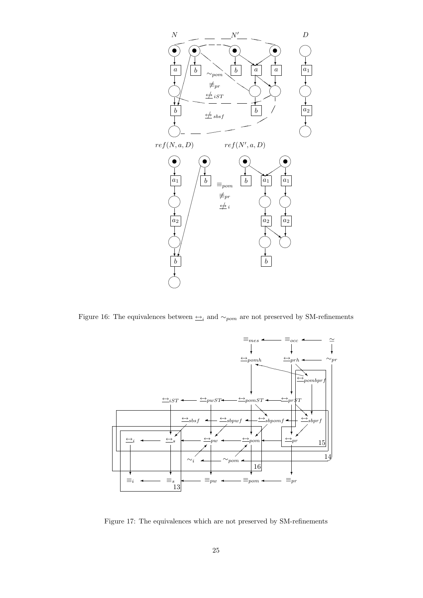

Figure 16: The equivalences between  $\triangleq_i$  and  $\sim_{pom}$  are not preserved by SM-refinements



Figure 17: The equivalences which are not preserved by SM-refinements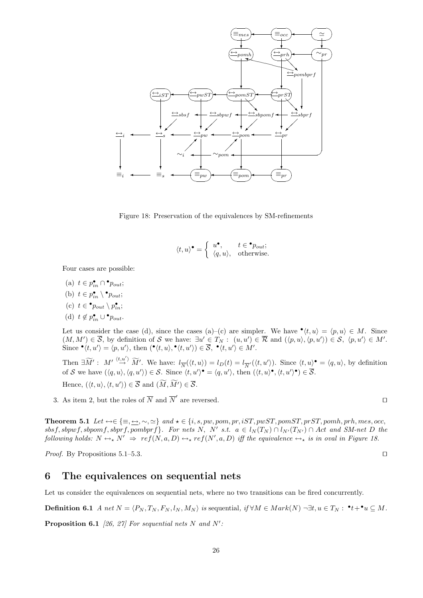

Figure 18: Preservation of the equivalences by SM-refinements

$$
\langle t, u \rangle^{\bullet} = \begin{cases} u^{\bullet}, & t \in {}^{\bullet}p_{out}; \\ \langle q, u \rangle, & \text{otherwise.} \end{cases}
$$

Four cases are possible:

- (a)  $t \in p_{in}^{\bullet} \cap \bullet_{\text{Pout}};$
- (b)  $t \in p_{in}^{\bullet} \setminus \bullet_{\text{out}};$
- (c)  $t \in \bullet p_{out} \setminus p_{in}^{\bullet};$
- (d)  $t \notin p_{in}^{\bullet} \cup \bullet_{\text{Pout}}$ .

Let us consider the case (d), since the cases (a)–(c) are simpler. We have  $\bullet \langle t, u \rangle = \langle p, u \rangle \in M$ . Since  $(M, M') \in \overline{S}$ , by definition of S we have:  $\exists u' \in T_N : (u, u') \in \overline{R}$  and  $(\langle p, u \rangle, \langle p, u' \rangle) \in S$ ,  $\langle p, u' \rangle \in M'$ . Since  $\mathbf{e}(t, u') = \langle p, u' \rangle$ , then  $(\mathbf{e}(t, u), \mathbf{e}(t, u')) \in \overline{S}$ ,  $\mathbf{e}(t, u') \in M'.$ 

Then  $\exists \widetilde{M}' : M' \stackrel{\langle t,u' \rangle}{\rightarrow} \widetilde{M}'$ . We have:  $l_{\overline{N}}(\langle t,u \rangle) = l_D(t) = l_{\overline{N}'}(\langle t,u' \rangle)$ . Since  $\langle t,u \rangle^{\bullet} = \langle q,u \rangle$ , by definition of S we have  $(\langle q, u \rangle, \langle q, u' \rangle) \in S$ . Since  $\langle t, u' \rangle^{\bullet} = \langle q, u' \rangle$ , then  $(\langle t, u \rangle^{\bullet}, \langle t, u' \rangle^{\bullet}) \in \overline{S}$ . Hence,  $(\langle t, u \rangle, \langle t, u' \rangle) \in \overline{S}$  and  $(\widetilde{M}, \widetilde{M'}) \in \overline{S}$ .

3. As item 2, but the roles of  $\overline{N}$  and  $\overline{N}'$  are reversed.

Theorem 5.1 Let ↔∈ {≡, ↔, ∼, '} and ? ∈ {i, s, pw, pom, pr, iST, pwST, pomST, prST, pomh, prh, mes, occ, sbsf, sbpwf, sbpomf, sbprf, pombprf}. For nets N, N' s.t.  $a \in l_N(T_N) \cap l_{N'}(T_{N'}) \cap Act$  and SM-net D the following holds:  $N \leftrightarrow_N' \Rightarrow ref(N, a, D) \leftrightarrow_{\star} ref(N', a, D)$  iff the equivalence  $\leftrightarrow_{\star}$  is in oval in Figure 18.

*Proof.* By Propositions 5.1–5.3.  $\Box$ 

### 6 The equivalences on sequential nets

Let us consider the equivalences on sequential nets, where no two transitions can be fired concurrently.

**Definition 6.1** A net  $N = \langle P_N, T_N, F_N, l_N, M_N \rangle$  is sequential, if  $\forall M \in Mark(N) \neg \exists t, u \in T_N : \cdot^{\bullet} t + \cdot^{\bullet} u \subseteq M$ .

**Proposition 6.1** [26, 27] For sequential nets N and N':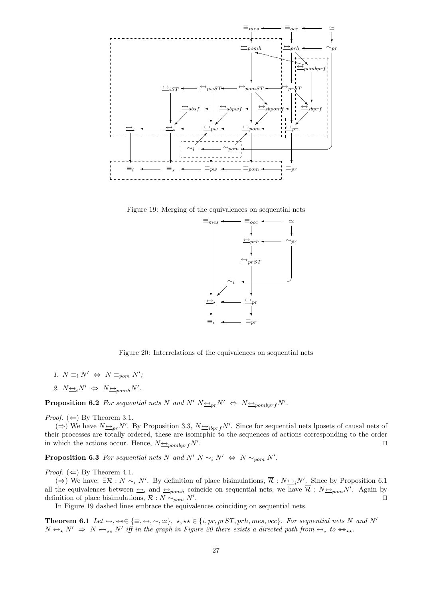

Figure 19: Merging of the equivalences on sequential nets



Figure 20: Interrelations of the equivalences on sequential nets

- 1.  $N \equiv_i N' \Leftrightarrow N \equiv_{pom} N'$ ;
- 2.  $N \leftrightarrow N \leftrightarrow N \leftrightarrow_{pomh} N'$ .

**Proposition 6.2** For sequential nets N and N'  $N \nightharpoonup_{pr} N' \Leftrightarrow N \nightharpoonup_{pombprf} N'.$ 

*Proof.* ( $\Leftarrow$ ) By Theorem 3.1.

(⇒) We have  $N \triangleq_{pr} N'$ . By Proposition 3.3,  $N \triangleq_{ibprf} N'$ . Since for sequential nets lposets of causal nets of their processes are totally ordered, these are isomrphic to the sequences of actions corresponding to the order in which the actions occur. Hence,  $N_{\frac{\leftrightarrow}{2}pombprf}N'$ . . The contract of the contract of the contract of the contract of  $\Box$ 

**Proposition 6.3** For sequential nets N and N' N  $\sim_i N' \Leftrightarrow N \sim_{\text{pom}} N'.$ 

*Proof.* ( $\Leftarrow$ ) By Theorem 4.1.

(⇒) We have:  $\exists \mathcal{R} : N \sim_i N'$ . By definition of place bisimulations,  $\overline{\mathcal{R}} : N \rightarrow N'$ . Since by Proposition 6.1 all the equivalences between  $\triangleq_i$  and  $\triangleq_{pomh}$  coincide on sequential nets, we have  $\overline{\mathcal{R}} : N \triangleq_{pom} N'$ . Again by definition of place bisimulations,  $\mathcal{R}: N \sim_{pom} N'$ . . The contract of the contract of the contract of the contract of the contract of the contract of the contract<br>The contract of the contract of the contract of the contract of the contract of the contract of the contract o

In Figure 19 dashed lines embrace the equivalences coinciding on sequential nets.

Theorem 6.1 Let  $\leftrightarrow$ ,  $\leftrightarrow\in\{\equiv,\leftrightarrow,\sim,\simeq\},\star,\star\in\{i,pr,prST,prh,mes,occ\}.$  For sequential nets N and N'  $N \leftrightarrow N' \Rightarrow N \leftrightarrow_{**} N'$  iff in the graph in Figure 20 there exists a directed path from  $\leftrightarrow_{*}$  to  $\leftrightarrow_{**}$ .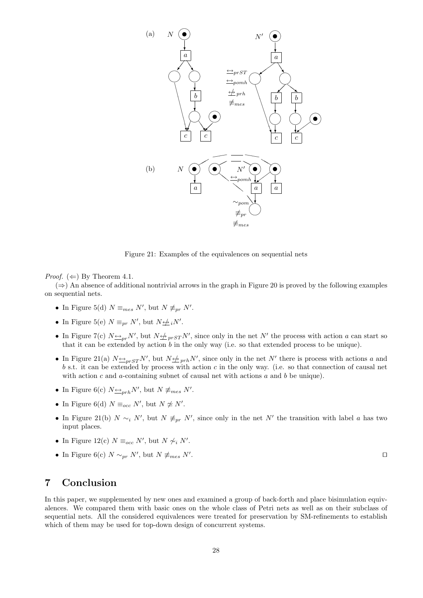

Figure 21: Examples of the equivalences on sequential nets

*Proof.* ( $\Leftarrow$ ) By Theorem 4.1.

 $(\Rightarrow)$  An absence of additional nontrivial arrows in the graph in Figure 20 is proved by the following examples on sequential nets.

- In Figure 5(d)  $N \equiv_{mes} N'$ , but  $N \not\equiv_{pr} N'$ .
- In Figure 5(e)  $N \equiv_{pr} N'$ , but  $N \not\rightleftharpoons_i N'$ .
- In Figure 7(c)  $N \rightarrow p r N'$ , but  $N \not\rightarrow p r s T N'$ , since only in the net N' the process with action a can start so that it can be extended by action  $b$  in the only way (i.e. so that extended process to be unique).
- In Figure 21(a)  $N \rightarrow p_{rST} N'$ , but  $N \not\rightarrow p_{rh} N'$ , since only in the net N' there is process with actions a and  $b$  s.t. it can be extended by process with action  $c$  in the only way. (i.e. so that connection of causal net with action c and a-containing subnet of causal net with actions  $a$  and  $b$  be unique).
- In Figure 6(c)  $N \underline{\leftrightarrow}_{prh} N'$ , but  $N \not\equiv_{mes} N'$ .
- In Figure 6(d)  $N \equiv_{occ} N'$ , but  $N \not\cong N'$ .
- In Figure 21(b)  $N \sim_i N'$ , but  $N \neq_{pr} N'$ , since only in the net N' the transition with label a has two input places.
- In Figure 12(c)  $N \equiv_{occ} N'$ , but  $N \not\sim_i N'$ .
- In Figure 6(c)  $N \sim_{pr} N'$ , but  $N \not\equiv_{mes} N'$

. The contract of the contract of the contract of the contract of the contract of the contract of the contract of the contract of the contract of the contract of the contract of the contract of the contract of the contract

# 7 Conclusion

In this paper, we supplemented by new ones and examined a group of back-forth and place bisimulation equivalences. We compared them with basic ones on the whole class of Petri nets as well as on their subclass of sequential nets. All the considered equivalences were treated for preservation by SM-refinements to establish which of them may be used for top-down design of concurrent systems.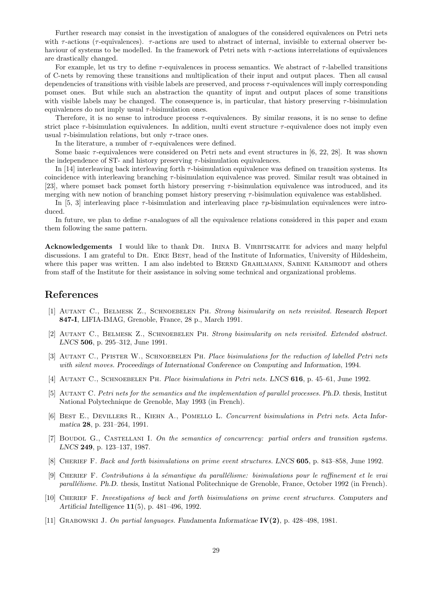Further research may consist in the investigation of analogues of the considered equivalences on Petri nets with  $\tau$ -actions ( $\tau$ -equivalences).  $\tau$ -actions are used to abstract of internal, invisible to external observer behaviour of systems to be modelled. In the framework of Petri nets with  $\tau$ -actions interrelations of equivalences are drastically changed.

For example, let us try to define  $\tau$ -equivalences in process semantics. We abstract of  $\tau$ -labelled transitions of C-nets by removing these transitions and multiplication of their input and output places. Then all causal dependencies of transitions with visible labels are preserved, and process  $\tau$ -equivalences will imply corresponding pomset ones. But while such an abstraction the quantity of input and output places of some transitions with visible labels may be changed. The consequence is, in particular, that history preserving  $\tau$ -bisimulation equivalences do not imply usual  $\tau$ -bisimulation ones.

Therefore, it is no sense to introduce process  $\tau$ -equivalences. By similar reasons, it is no sense to define strict place  $\tau$ -bisimulation equivalences. In addition, multi event structure  $\tau$ -equivalence does not imply even usual  $\tau$ -bisimulation relations, but only  $\tau$ -trace ones.

In the literature, a number of  $\tau$ -equivalences were defined.

Some basic  $\tau$ -equivalences were considered on Petri nets and event structures in [6, 22, 28]. It was shown the independence of ST- and history preserving  $\tau$ -bisimulation equivalences.

In [14] interleaving back interleaving forth  $\tau$ -bisimulation equivalence was defined on transition systems. Its coincidence with interleaving branching  $\tau$ -bisimulation equivalence was proved. Similar result was obtained in [23], where pomset back pomset forth history preserving  $\tau$ -bisimulation equivalence was introduced, and its merging with new notion of branching pomset history preserving τ-bisimulation equivalence was established.

In [5, 3] interleaving place  $\tau$ -bisimulation and interleaving place  $\tau p$ -bisimulation equivalences were introduced.

In future, we plan to define  $\tau$ -analogues of all the equivalence relations considered in this paper and exam them following the same pattern.

Acknowledgements I would like to thank DR. IRINA B. VIRBITSKAITE for advices and many helpful discussions. I am grateful to Dr. Eike Best, head of the Institute of Informatics, University of Hildesheim, where this paper was written. I am also indebted to BERND GRAHLMANN, SABINE KARMRODT and others from staff of the Institute for their assistance in solving some technical and organizational problems.

## References

- [1] Autant C., Belmesk Z., Schnoebelen Ph. Strong bisimularity on nets revisited. Research Report 847-I, LIFIA-IMAG, Grenoble, France, 28 p., March 1991.
- [2] Autant C., Belmesk Z., Schnoebelen Ph. Strong bisimularity on nets revisited. Extended abstract. LNCS 506, p. 295–312, June 1991.
- [3] AUTANT C., PFISTER W., SCHNOEBELEN PH. Place bisimulations for the reduction of labelled Petri nets with silent moves. Proceedings of International Conference on Computing and Information, 1994.
- [4] AUTANT C., SCHNOEBELEN PH. Place bisimulations in Petri nets. LNCS 616, p. 45–61, June 1992.
- [5] AUTANT C. Petri nets for the semantics and the implementation of parallel processes. Ph.D. thesis, Institut National Polytechnique de Grenoble, May 1993 (in French).
- [6] Best E., Devillers R., Kiehn A., Pomello L. Concurrent bisimulations in Petri nets. Acta Informatica 28, p. 231–264, 1991.
- [7] BOUDOL G., CASTELLANI I. On the semantics of concurrency: partial orders and transition systems. LNCS 249, p. 123–137, 1987.
- [8] CHERIEF F. Back and forth bisimulations on prime event structures. LNCS 605, p. 843–858, June 1992.
- [9] Cherief F. Contributions `a la s´emantique du parall´elisme: bisimulations pour le raffinement et le vrai parallélisme. Ph.D. thesis, Institut National Politechnique de Grenoble, France, October 1992 (in French).
- [10] Cherief F. Investigations of back and forth bisimulations on prime event structures. Computers and Artificial Intelligence 11(5), p. 481–496, 1992.
- [11] Grabowski J. On partial languages. Fundamenta Informaticae IV(2), p. 428–498, 1981.